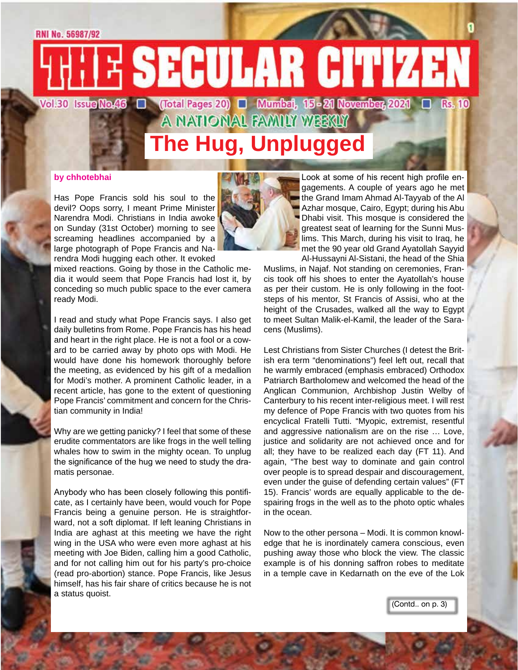#### **RNI No. 56987/92**

E SECULAR CITIZEN Vol.30 IssueMoAG □ (Total Pages 20) □ Mumbai, 15 - 21 Novembar, 2021 □ Rs. 10

**The Hug, Unplugged**

A NATIONAL FAMILY WEEKLY

#### **by chhotebhai**

Has Pope Francis sold his soul to the devil? Oops sorry, I meant Prime Minister Narendra Modi. Christians in India awoke on Sunday (31st October) morning to see screaming headlines accompanied by a large photograph of Pope Francis and Narendra Modi hugging each other. It evoked

mixed reactions. Going by those in the Catholic media it would seem that Pope Francis had lost it, by conceding so much public space to the ever camera ready Modi.

I read and study what Pope Francis says. I also get daily bulletins from Rome. Pope Francis has his head and heart in the right place. He is not a fool or a coward to be carried away by photo ops with Modi. He would have done his homework thoroughly before the meeting, as evidenced by his gift of a medallion for Modi's mother. A prominent Catholic leader, in a recent article, has gone to the extent of questioning Pope Francis' commitment and concern for the Christian community in India!

Why are we getting panicky? I feel that some of these erudite commentators are like frogs in the well telling whales how to swim in the mighty ocean. To unplug the significance of the hug we need to study the dramatis personae.

Anybody who has been closely following this pontificate, as I certainly have been, would vouch for Pope Francis being a genuine person. He is straightforward, not a soft diplomat. If left leaning Christians in India are aghast at this meeting we have the right wing in the USA who were even more aghast at his meeting with Joe Biden, calling him a good Catholic, and for not calling him out for his party's pro-choice (read pro-abortion) stance. Pope Francis, like Jesus himself, has his fair share of critics because he is not a status quoist.



Look at some of his recent high profile engagements. A couple of years ago he met the Grand Imam Ahmad Al-Tayyab of the Al Azhar mosque, Cairo, Egypt; during his Abu Dhabi visit. This mosque is considered the greatest seat of learning for the Sunni Muslims. This March, during his visit to Iraq, he met the 90 year old Grand Ayatollah Sayyid Al-Hussayni Al-Sistani, the head of the Shia

Muslims, in Najaf. Not standing on ceremonies, Francis took off his shoes to enter the Ayatollah's house as per their custom. He is only following in the footsteps of his mentor, St Francis of Assisi, who at the height of the Crusades, walked all the way to Egypt to meet Sultan Malik-el-Kamil, the leader of the Saracens (Muslims).

Lest Christians from Sister Churches (I detest the British era term "denominations") feel left out, recall that he warmly embraced (emphasis embraced) Orthodox Patriarch Bartholomew and welcomed the head of the Anglican Communion, Archbishop Justin Welby of Canterbury to his recent inter-religious meet. I will rest my defence of Pope Francis with two quotes from his encyclical Fratelli Tutti. "Myopic, extremist, resentful and aggressive nationalism are on the rise … Love, justice and solidarity are not achieved once and for all; they have to be realized each day (FT 11). And again, "The best way to dominate and gain control over people is to spread despair and discouragement, even under the guise of defending certain values" (FT 15). Francis' words are equally applicable to the despairing frogs in the well as to the photo optic whales in the ocean.

Now to the other persona – Modi. It is common knowledge that he is inordinately camera conscious, even pushing away those who block the view. The classic example is of his donning saffron robes to meditate in a temple cave in Kedarnath on the eve of the Lok

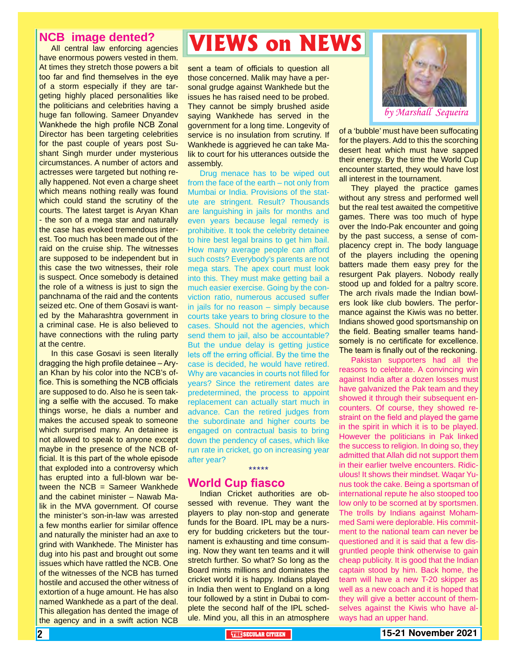#### **NCB image dented?**

All central law enforcing agencies have enormous powers vested in them. At times they stretch those powers a bit too far and find themselves in the eye of a storm especially if they are targeting highly placed personalities like the politicians and celebrities having a huge fan following. Sameer Dnyandev Wankhede the high profile NCB Zonal Director has been targeting celebrities for the past couple of years post Sushant Singh murder under mysterious circumstances. A number of actors and actresses were targeted but nothing really happened. Not even a charge sheet which means nothing really was found which could stand the scrutiny of the courts. The latest target is Aryan Khan - the son of a mega star and naturally the case has evoked tremendous interest. Too much has been made out of the raid on the cruise ship. The witnesses are supposed to be independent but in this case the two witnesses, their role is suspect. Once somebody is detained the role of a witness is just to sign the panchnama of the raid and the contents seized etc. One of them Gosavi is wanted by the Maharashtra government in a criminal case. He is also believed to have connections with the ruling party at the centre.

In this case Gosavi is seen literally dragging the high profile detainee – Aryan Khan by his color into the NCB's office. This is something the NCB officials are supposed to do. Also he is seen taking a selfie with the accused. To make things worse, he dials a number and makes the accused speak to someone which surprised many. An detainee is not allowed to speak to anyone except maybe in the presence of the NCB official. It is this part of the whole episode that exploded into a controversy which has erupted into a full-blown war between the  $NCB =$  Sameer Wankhede and the cabinet minister – Nawab Malik in the MVA government. Of course the minister's son-in-law was arrested a few months earlier for similar offence and naturally the minister had an axe to grind with Wankhede. The Minister has dug into his past and brought out some issues which have rattled the NCB. One of the witnesses of the NCB has turned hostile and accused the other witness of extortion of a huge amount. He has also named Wankhede as a part of the deal. This allegation has dented the image of the agency and in a swift action NCB

## **VIEWS on NEWS**

sent a team of officials to question all those concerned. Malik may have a personal grudge against Wankhede but the issues he has raised need to be probed. They cannot be simply brushed aside saying Wankhede has served in the government for a long time. Longevity of service is no insulation from scrutiny. If Wankhede is aggrieved he can take Malik to court for his utterances outside the assembly.

Drug menace has to be wiped out from the face of the earth – not only from Mumbai or India. Provisions of the statute are stringent. Result? Thousands are languishing in jails for months and even years because legal remedy is prohibitive. It took the celebrity detainee to hire best legal brains to get him bail. How many average people can afford such costs? Everybody's parents are not mega stars. The apex court must look into this. They must make getting bail a much easier exercise. Going by the conviction ratio, numerous accused suffer in jails for no reason – simply because courts take years to bring closure to the cases. Should not the agencies, which send them to jail, also be accountable? But the undue delay is getting justice lets off the erring official. By the time the case is decided, he would have retired. Why are vacancies in courts not filled for years? Since the retirement dates are predetermined, the process to appoint replacement can actually start much in advance. Can the retired judges from the subordinate and higher courts be engaged on contractual basis to bring down the pendency of cases, which like run rate in cricket, go on increasing year after year?

#### **World Cup fiasco**

Indian Cricket authorities are obsessed with revenue. They want the players to play non-stop and generate funds for the Board. IPL may be a nursery for budding cricketers but the tournament is exhausting and time consuming. Now they want ten teams and it will stretch further. So what? So long as the Board mints millions and dominates the cricket world it is happy. Indians played in India then went to England on a long tour followed by a stint in Dubai to complete the second half of the IPL schedule. Mind you, all this in an atmosphere

\*\*\*\*\*



of a 'bubble' must have been suffocating for the players. Add to this the scorching desert heat which must have sapped their energy. By the time the World Cup encounter started, they would have lost all interest in the tournament.

They played the practice games without any stress and performed well but the real test awaited the competitive games. There was too much of hype over the Indo-Pak encounter and going by the past success, a sense of complacency crept in. The body language of the players including the opening batters made them easy prey for the resurgent Pak players. Nobody really stood up and folded for a paltry score. The arch rivals made the Indian bowlers look like club bowlers. The performance against the Kiwis was no better. Indians showed good sportsmanship on the field. Beating smaller teams handsomely is no certificate for excellence. The team is finally out of the reckoning.

selves against the Kiwis who have al-<br>ways had an upper hand. Pakistan supporters had all the reasons to celebrate. A convincing win against India after a dozen losses must have galvanized the Pak team and they showed it through their subsequent encounters. Of course, they showed restraint on the field and played the game in the spirit in which it is to be played. However the politicians in Pak linked the success to religion. In doing so, they admitted that Allah did not support them in their earlier twelve encounters. Ridiculous! It shows their mindset. Waqar Yunus took the cake. Being a sportsman of international repute he also stooped too low only to be scorned at by sportsmen. The trolls by Indians against Mohammed Sami were deplorable. His commitment to the national team can never be questioned and it is said that a few disgruntled people think otherwise to gain cheap publicity. It is good that the Indian captain stood by him. Back home, the team will have a new T-20 skipper as well as a new coach and it is hoped that they will give a better account of themways had an upper hand.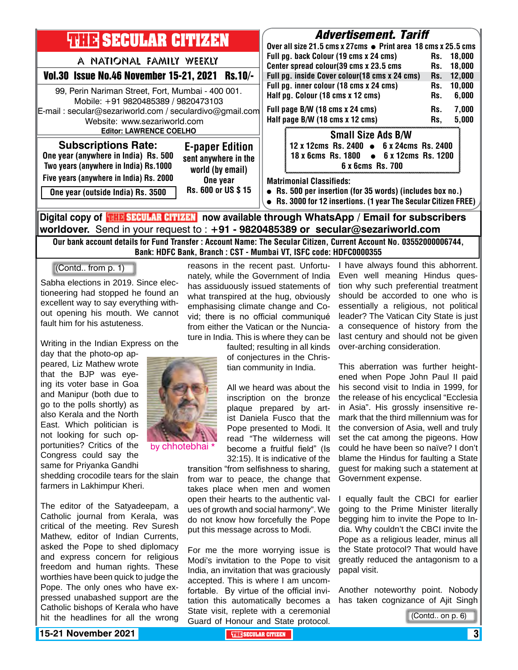

**worldover.** Send in your request to : **+91 - 9820485389 or secular@sezariworld.com** Our bank account details for Fund Transfer : Account Name: The Secular Citizen, Current Account No. 03552000006744,

Bank: HDFC Bank, Branch : CST - Mumbai VT, ISFC code: HDFC0000355

(Contd.. from p. 1)

Sabha elections in 2019. Since electioneering had stopped he found an excellent way to say everything without opening his mouth. We cannot fault him for his astuteness.

Writing in the Indian Express on the

day that the photo-op appeared, Liz Mathew wrote that the BJP was eyeing its voter base in Goa and Manipur (both due to go to the polls shortly) as also Kerala and the North East. Which politician is not looking for such opportunities? Critics of the Congress could say the same for Priyanka Gandhi

shedding crocodile tears for the slain farmers in Lakhimpur Kheri.

The editor of the Satyadeepam, a Catholic journal from Kerala, was critical of the meeting. Rev Suresh Mathew, editor of Indian Currents, asked the Pope to shed diplomacy and express concern for religious freedom and human rights. These worthies have been quick to judge the Pope. The only ones who have expressed unabashed support are the Catholic bishops of Kerala who have hit the headlines for all the wrong



by chhotebhai \*

reasons in the recent past. Unfortunately, while the Government of India has assiduously issued statements of what transpired at the hug, obviously emphasising climate change and Covid; there is no official communiqué from either the Vatican or the Nunciature in India. This is where they can be

> faulted; resulting in all kinds of conjectures in the Christian community in India.

All we heard was about the inscription on the bronze plaque prepared by artist Daniela Fusco that the Pope presented to Modi. It read "The wilderness will become a fruitful field" (Is 32:15). It is indicative of the

transition "from selfishness to sharing, from war to peace, the change that takes place when men and women open their hearts to the authentic values of growth and social harmony". We do not know how forcefully the Pope put this message across to Modi.

For me the more worrying issue is Modi's invitation to the Pope to visit India, an invitation that was graciously accepted. This is where I am uncomfortable. By virtue of the official invitation this automatically becomes a State visit, replete with a ceremonial Guard of Honour and State protocol. I have always found this abhorrent. Even well meaning Hindus question why such preferential treatment should be accorded to one who is essentially a religious, not political leader? The Vatican City State is just a consequence of history from the last century and should not be given over-arching consideration.

This aberration was further heightened when Pope John Paul II paid his second visit to India in 1999, for the release of his encyclical "Ecclesia in Asia". His grossly insensitive remark that the third millennium was for the conversion of Asia, well and truly set the cat among the pigeons. How could he have been so naïve? I don't blame the Hindus for faulting a State guest for making such a statement at Government expense.

I equally fault the CBCI for earlier going to the Prime Minister literally begging him to invite the Pope to India. Why couldn't the CBCI invite the Pope as a religious leader, minus all the State protocol? That would have greatly reduced the antagonism to a papal visit.

Another noteworthy point. Nobody has taken cognizance of Ajit Singh

(Contd.. on p. 6)

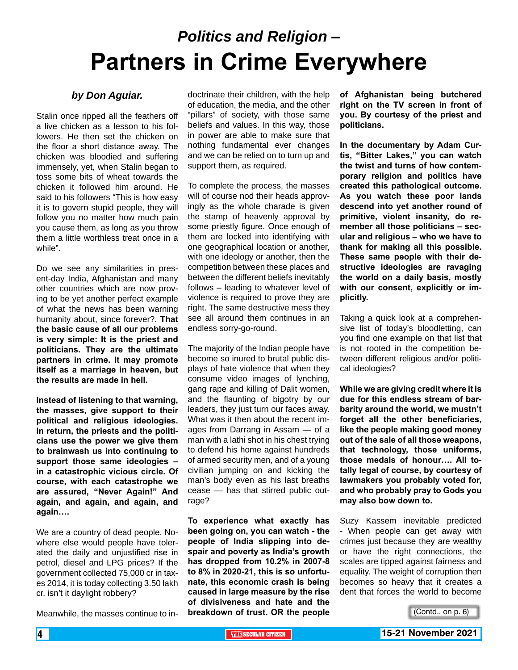# *Politics and Religion* **– Partners in Crime Everywhere**

#### *by Don Aguiar.*

Stalin once ripped all the feathers off a live chicken as a lesson to his followers. He then set the chicken on the floor a short distance away. The chicken was bloodied and suffering immensely, yet, when Stalin began to toss some bits of wheat towards the chicken it followed him around. He said to his followers "This is how easy it is to govern stupid people, they will follow you no matter how much pain you cause them, as long as you throw them a little worthless treat once in a while".

Do we see any similarities in present-day India, Afghanistan and many other countries which are now proving to be yet another perfect example of what the news has been warning humanity about, since forever?. **That the basic cause of all our problems is very simple: It is the priest and politicians. They are the ultimate partners in crime. It may promote itself as a marriage in heaven, but the results are made in hell.**

**Instead of listening to that warning, the masses, give support to their political and religious ideologies. In return, the priests and the politicians use the power we give them to brainwash us into continuing to support those same ideologies – in a catastrophic vicious circle. Of course, with each catastrophe we are assured, "Never Again!" And again, and again, and again, and again….**

We are a country of dead people. Nowhere else would people have tolerated the daily and unjustified rise in petrol, diesel and LPG prices? If the government collected 75,000 cr in taxes 2014, it is today collecting 3.50 lakh cr. isn't it daylight robbery?

Meanwhile, the masses continue to in-

doctrinate their children, with the help of education, the media, and the other "pillars" of society, with those same beliefs and values. In this way, those in power are able to make sure that nothing fundamental ever changes and we can be relied on to turn up and support them, as required.

To complete the process, the masses will of course nod their heads approvingly as the whole charade is given the stamp of heavenly approval by some priestly figure. Once enough of them are locked into identifying with one geographical location or another, with one ideology or another, then the competition between these places and between the different beliefs inevitably follows – leading to whatever level of violence is required to prove they are right. The same destructive mess they see all around them continues in an endless sorry-go-round.

The majority of the Indian people have become so inured to brutal public displays of hate violence that when they consume video images of lynching, gang rape and killing of Dalit women, and the flaunting of bigotry by our leaders, they just turn our faces away. What was it then about the recent images from Darrang in Assam — of a man with a lathi shot in his chest trying to defend his home against hundreds of armed security men, and of a young civilian jumping on and kicking the man's body even as his last breaths cease — has that stirred public outrage?

**To experience what exactly has been going on, you can watch - the people of India slipping into despair and poverty as India's growth has dropped from 10.2% in 2007-8 to 8% in 2020-21, this is so unfortunate, this economic crash is being caused in large measure by the rise of divisiveness and hate and the breakdown of trust. OR the people** 

**of Afghanistan being butchered right on the TV screen in front of you. By courtesy of the priest and politicians.**

**In the documentary by Adam Curtis, "Bitter Lakes," you can watch the twist and turns of how contemporary religion and politics have created this pathological outcome. As you watch these poor lands descend into yet another round of primitive, violent insanity, do remember all those politicians – secular and religious – who we have to thank for making all this possible. These same people with their destructive ideologies are ravaging the world on a daily basis, mostly with our consent, explicitly or implicitly.**

Taking a quick look at a comprehensive list of today's bloodletting, can you find one example on that list that is not rooted in the competition between different religious and/or political ideologies?

**While we are giving credit where it is due for this endless stream of barbarity around the world, we mustn't forget all the other beneficiaries, like the people making good money out of the sale of all those weapons, that technology, those uniforms, those medals of honour…. All totally legal of course, by courtesy of lawmakers you probably voted for, and who probably pray to Gods you may also bow down to.**

Suzy Kassem inevitable predicted - When people can get away with crimes just because they are wealthy or have the right connections, the scales are tipped against fairness and equality. The weight of corruption then becomes so heavy that it creates a dent that forces the world to become

(Contd.. on p. 6)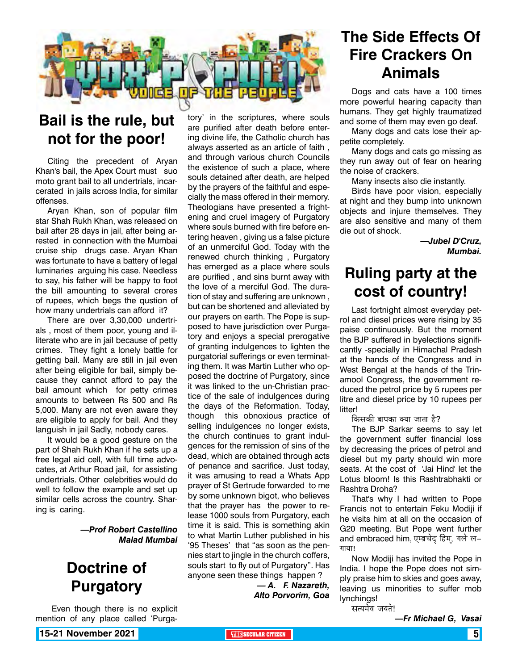

### **Bail is the rule, but not for the poor!**

Citing the precedent of Aryan Khan's bail, the Apex Court must suo moto grant bail to all undertrials, incarcerated in jails across India, for similar offenses.

Aryan Khan, son of popular film star Shah Rukh Khan, was released on bail after 28 days in jail, after being arrested in connection with the Mumbai cruise ship drugs case. Aryan Khan was fortunate to have a battery of legal luminaries arguing his case. Needless to say, his father will be happy to foot the bill amounting to several crores of rupees, which begs the qustion of how many undertrials can afford it?

There are over 3,30,000 undertrials , most of them poor, young and illiterate who are in jail because of petty crimes. They fight a lonely battle for getting bail. Many are still in jail even after being eligible for bail, simply because they cannot afford to pay the bail amount which for petty crimes amounts to between Rs 500 and Rs 5,000. Many are not even aware they are eligible to apply for bail. And they languish in jail Sadly, nobody cares.

It would be a good gesture on the part of Shah Rukh Khan if he sets up a free legal aid cell, with full time advocates, at Arthur Road jail, for assisting undertrials. Other celebrities would do well to follow the example and set up similar cells across the country. Sharing is caring.

> *—Prof Robert Castellino Malad Mumbai*

### **Doctrine of Purgatory**

 Even though there is no explicit mention of any place called 'Purga-

tory' in the scriptures, where souls are purified after death before entering divine life, the Catholic church has always asserted as an article of faith , and through various church Councils the existence of such a place, where souls detained after death, are helped by the prayers of the faithful and especially the mass offered in their memory. Theologians have presented a frightening and cruel imagery of Purgatory where souls burned with fire before entering heaven , giving us a false picture of an unmerciful God. Today with the renewed church thinking , Purgatory has emerged as a place where souls are purified , and sins burnt away with the love of a merciful God. The duration of stay and suffering are unknown , but can be shortened and alleviated by our prayers on earth. The Pope is supposed to have jurisdiction over Purgatory and enjoys a special prerogative of granting indulgences to lighten the purgatorial sufferings or even terminating them. It was Martin Luther who opposed the doctrine of Purgatory, since it was linked to the un-Christian practice of the sale of indulgences during the days of the Reformation. Today, though this obnoxious practice of selling indulgences no longer exists, the church continues to grant indulgences for the remission of sins of the dead, which are obtained through acts of penance and sacrifice. Just today, it was amusing to read a Whats App prayer of St Gertrude forwarded to me by some unknown bigot, who believes that the prayer has the power to release 1000 souls from Purgatory, each time it is said. This is something akin to what Martin Luther published in his '95 Theses' that "as soon as the pennies start to jingle in the church coffers, souls start to fly out of Purgatory". Has anyone seen these things happen ?

*— A. F. Nazareth, Alto Porvorim, Goa* 

### **The Side Effects Of Fire Crackers On Animals**

Dogs and cats have a 100 times more powerful hearing capacity than humans. They get highly traumatized and some of them may even go deaf.

Many dogs and cats lose their appetite completely.

Many dogs and cats go missing as they run away out of fear on hearing the noise of crackers.

Many insects also die instantly.

Birds have poor vision, especially at night and they bump into unknown objects and injure themselves. They are also sensitive and many of them die out of shock.

> *—Jubel D'Cruz, Mumbai.*

### **Ruling party at the cost of country!**

Last fortnight almost everyday petrol and diesel prices were rising by 35 paise continuously. But the moment the BJP suffered in byelections significantly -specially in Himachal Pradesh at the hands of the Congress and in West Bengal at the hands of the Trinamool Congress, the government reduced the petrol price by 5 rupees per litre and diesel price by 10 rupees per litter!

किसकी बापका क्या जाता है?

The BJP Sarkar seems to say let the government suffer financial loss by decreasing the prices of petrol and diesel but my party should win more seats. At the cost of 'Jai Hind' let the Lotus bloom! Is this Rashtrabhakti or Rashtra Droha?

That's why I had written to Pope Francis not to entertain Feku Modiji if he visits him at all on the occasion of G20 meeting. But Pope went further and embraced him, एम्ब्रचेद् हिम्, गले ल– गाया!

Now Modiji has invited the Pope in India. I hope the Pope does not simply praise him to skies and goes away, leaving us minorities to suffer mob lynchings!

सत्यमेव जयते!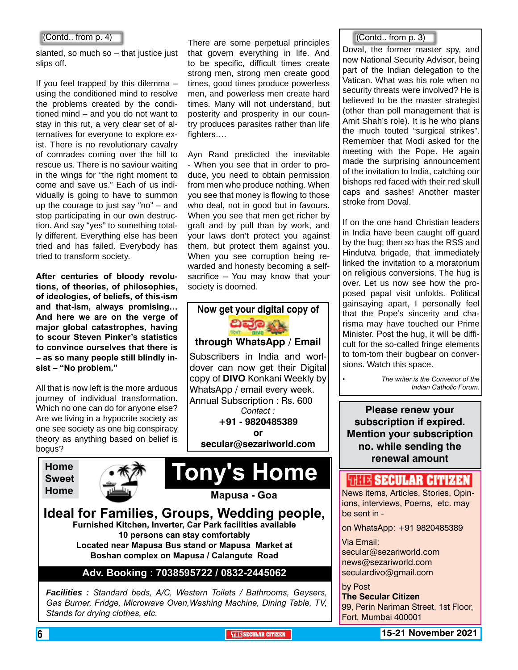slanted, so much so – that justice just slips off.

If you feel trapped by this dilemma – using the conditioned mind to resolve the problems created by the conditioned mind – and you do not want to stay in this rut, a very clear set of alternatives for everyone to explore exist. There is no revolutionary cavalry of comrades coming over the hill to rescue us. There is no saviour waiting in the wings for "the right moment to come and save us." Each of us individually is going to have to summon up the courage to just say "no" – and stop participating in our own destruction. And say "yes" to something totally different. Everything else has been tried and has failed. Everybody has tried to transform society.

**After centuries of bloody revolutions, of theories, of philosophies, of ideologies, of beliefs, of this-ism and that-ism, always promising… And here we are on the verge of major global catastrophes, having to scour Steven Pinker's statistics to convince ourselves that there is – as so many people still blindly insist – "No problem."**

All that is now left is the more arduous journey of individual transformation. Which no one can do for anyone else? Are we living in a hypocrite society as one see society as one big conspiracy theory as anything based on belief is bogus?





There are some perpetual principles that govern everything in life. And to be specific, difficult times create strong men, strong men create good times, good times produce powerless men, and powerless men create hard times. Many will not understand, but posterity and prosperity in our country produces parasites rather than life fighters....

Ayn Rand predicted the inevitable - When you see that in order to produce, you need to obtain permission from men who produce nothing. When you see that money is flowing to those who deal, not in good but in favours. When you see that men get richer by graft and by pull than by work, and your laws don't protect you against them, but protect them against you. When you see corruption being rewarded and honesty becoming a selfsacrifice – You may know that your society is doomed.



**or** 

**secular@sezariworld.com**



#### **Ideal for Families, Groups, Wedding people, Furnished Kitchen, Inverter, Car Park facilities available 10 persons can stay comfortably Located near Mapusa Bus stand or Mapusa Market at Boshan complex on Mapusa / Calangute Road**

#### **Adv. Booking : 7038595722 / 0832-2445062**

*Facilities : Standard beds, A/C, Western Toilets / Bathrooms, Geysers, Gas Burner, Fridge, Microwave Oven,Washing Machine, Dining Table, TV, Stands for drying clothes, etc.*

(Contd.. from p. 3)

Doval, the former master spy, and now National Security Advisor, being part of the Indian delegation to the Vatican. What was his role when no security threats were involved? He is believed to be the master strategist (other than poll management that is Amit Shah's role). It is he who plans the much touted "surgical strikes". Remember that Modi asked for the meeting with the Pope. He again made the surprising announcement of the invitation to India, catching our bishops red faced with their red skull caps and sashes! Another master stroke from Doval.

If on the one hand Christian leaders in India have been caught off guard by the hug; then so has the RSS and Hindutva brigade, that immediately linked the invitation to a moratorium on religious conversions. The hug is over. Let us now see how the proposed papal visit unfolds. Political gainsaying apart, I personally feel that the Pope's sincerity and charisma may have touched our Prime Minister. Post the hug, it will be difficult for the so-called fringe elements to tom-tom their bugbear on conversions. Watch this space.

> *• The writer is the Convenor of the Indian Catholic Forum.*

**Please renew your subscription if expired. Mention your subscription no. while sending the renewal amount**

#### **WELL'S SECULAR CITIZEN**

News items, Articles, Stories, Opinions, interviews, Poems, etc. may be sent in -

on WhatsApp: +91 9820485389

Via Email: secular@sezariworld.com

news@sezariworld.com seculardivo@gmail.com

by Post **The Secular Citizen** 99, Perin Nariman Street, 1st Floor, Fort, Mumbai 400001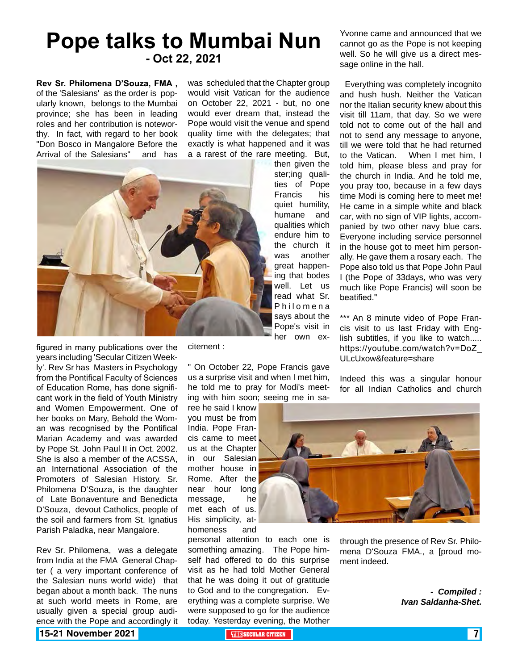# **Pope talks to Mumbai Nun - Oct 22, 2021**

**Rev Sr. Philomena D'Souza, FMA ,** of the 'Salesians' as the order is popularly known, belongs to the Mumbai province; she has been in leading roles and her contribution is noteworthy. In fact, with regard to her book "Don Bosco in Mangalore Before the Arrival of the Salesians" and has

was scheduled that the Chapter group would visit Vatican for the audience on October 22, 2021 - but, no one would ever dream that, instead the Pope would visit the venue and spend quality time with the delegates; that exactly is what happened and it was a a rarest of the rare meeting. But,



then given the ster:ing qualities of Pope Francis his quiet humility, humane and qualities which endure him to the church it was another great happening that bodes well. Let us read what Sr. Philomena says about the Pope's visit in her own exYvonne came and announced that we cannot go as the Pope is not keeping well. So he will give us a direct message online in the hall.

 Everything was completely incognito and hush hush. Neither the Vatican nor the Italian security knew about this visit till 11am, that day. So we were told not to come out of the hall and not to send any message to anyone, till we were told that he had returned to the Vatican. When I met him, I told him, please bless and pray for the church in India. And he told me, you pray too, because in a few days time Modi is coming here to meet me! He came in a simple white and black car, with no sign of VIP lights, accompanied by two other navy blue cars. Everyone including service personnel in the house got to meet him personally. He gave them a rosary each. The Pope also told us that Pope John Paul I (the Pope of 33days, who was very much like Pope Francis) will soon be beatified."

\*\*\* An 8 minute video of Pope Francis visit to us last Friday with English subtitles, if you like to watch..... https://youtube.com/watch?v=DoZ\_ ULcUxow&feature=share

Indeed this was a singular honour for all Indian Catholics and church

figured in many publications over the years including 'Secular Citizen Weekly'. Rev Sr has Masters in Psychology from the Pontifical Faculty of Sciences of Education Rome, has done significant work in the field of Youth Ministry and Women Empowerment. One of her books on Mary, Behold the Woman was recognised by the Pontifical Marian Academy and was awarded by Pope St. John Paul II in Oct. 2002. She is also a member of the ACSSA, an International Association of the Promoters of Salesian History. Sr. Philomena D'Souza, is the daughter of Late Bonaventure and Benedicta D'Souza, devout Catholics, people of the soil and farmers from St. Ignatius Parish Paladka, near Mangalore.

Rev Sr. Philomena, was a delegate from India at the FMA General Chapter ( a very important conference of the Salesian nuns world wide) that began about a month back. The nuns at such world meets in Rome, are usually given a special group audience with the Pope and accordingly it

citement :

" On October 22, Pope Francis gave us a surprise visit and when I met him, he told me to pray for Modi's meeting with him soon; seeing me in sa-

ree he said I know you must be from India. Pope Francis came to meet us at the Chapter in our Salesian mother house in Rome. After the near hour long message, he met each of us. His simplicity, athomeness and

personal attention to each one is something amazing. The Pope himself had offered to do this surprise visit as he had told Mother General that he was doing it out of gratitude to God and to the congregation. Everything was a complete surprise. We were supposed to go for the audience today. Yesterday evening, the Mother



through the presence of Rev Sr. Philomena D'Souza FMA., a [proud moment indeed.

> *- Compiled : Ivan Saldanha-Shet.*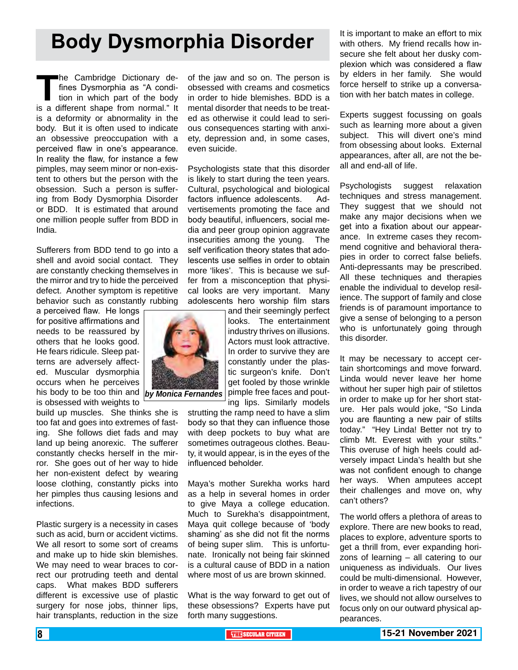# **Body Dysmorphia Disorder**

The Cambridge Dictionary de-<br>fines Dysmorphia as "A condi-<br>tion in which part of the body<br>is a different shape from normal." It fines Dysmorphia as "A condition in which part of the body is a different shape from normal." It is a deformity or abnormality in the body. But it is often used to indicate an obsessive preoccupation with a perceived flaw in one's appearance. In reality the flaw, for instance a few pimples, may seem minor or non-existent to others but the person with the obsession. Such a person is suffering from Body Dysmorphia Disorder or BDD. It is estimated that around one million people suffer from BDD in India.

Sufferers from BDD tend to go into a shell and avoid social contact. They are constantly checking themselves in the mirror and try to hide the perceived defect. Another symptom is repetitive behavior such as constantly rubbing

a perceived flaw. He longs for positive affirmations and needs to be reassured by others that he looks good. He fears ridicule. Sleep patterns are adversely affected. Muscular dysmorphia occurs when he perceives his body to be too thin and is obsessed with weights to

build up muscles. She thinks she is too fat and goes into extremes of fasting. She follows diet fads and may land up being anorexic. The sufferer constantly checks herself in the mirror. She goes out of her way to hide her non-existent defect by wearing loose clothing, constantly picks into her pimples thus causing lesions and infections.

Plastic surgery is a necessity in cases such as acid, burn or accident victims. We all resort to some sort of creams and make up to hide skin blemishes. We may need to wear braces to correct our protruding teeth and dental caps. What makes BDD sufferers different is excessive use of plastic surgery for nose jobs, thinner lips, hair transplants, reduction in the size

of the jaw and so on. The person is obsessed with creams and cosmetics in order to hide blemishes. BDD is a mental disorder that needs to be treated as otherwise it could lead to serious consequences starting with anxiety, depression and, in some cases, even suicide.

Psychologists state that this disorder is likely to start during the teen years. Cultural, psychological and biological factors influence adolescents. Advertisements promoting the face and body beautiful, influencers, social media and peer group opinion aggravate insecurities among the young. The self verification theory states that adolescents use selfies in order to obtain more 'likes'. This is because we suffer from a misconception that physical looks are very important. Many adolescents hero worship film stars

and their seemingly perfect looks. The entertainment industry thrives on illusions. Actors must look attractive. In order to survive they are constantly under the plastic surgeon's knife. Don't get fooled by those wrinkle pimple free faces and pouting lips. Similarly models

strutting the ramp need to have a slim body so that they can influence those with deep pockets to buy what are sometimes outrageous clothes. Beauty, it would appear, is in the eyes of the influenced beholder.

Maya's mother Surekha works hard as a help in several homes in order to give Maya a college education. Much to Surekha's disappointment, Maya quit college because of 'body shaming' as she did not fit the norms of being super slim. This is unfortunate. Ironically not being fair skinned is a cultural cause of BDD in a nation where most of us are brown skinned.

What is the way forward to get out of these obsessions? Experts have put forth many suggestions.

It is important to make an effort to mix with others. My friend recalls how insecure she felt about her dusky complexion which was considered a flaw by elders in her family. She would force herself to strike up a conversation with her batch mates in college.

Experts suggest focussing on goals such as learning more about a given subject. This will divert one's mind from obsessing about looks. External appearances, after all, are not the beall and end-all of life.

Psychologists suggest relaxation techniques and stress management. They suggest that we should not make any major decisions when we get into a fixation about our appearance. In extreme cases they recommend cognitive and behavioral therapies in order to correct false beliefs. Anti-depressants may be prescribed. All these techniques and therapies enable the individual to develop resilience. The support of family and close friends is of paramount importance to give a sense of belonging to a person who is unfortunately going through this disorder.

It may be necessary to accept certain shortcomings and move forward. Linda would never leave her home without her super high pair of stilettos in order to make up for her short stature. Her pals would joke, "So Linda you are flaunting a new pair of stilts today." "Hey Linda! Better not try to climb Mt. Everest with your stilts." This overuse of high heels could adversely impact Linda's health but she was not confident enough to change her ways. When amputees accept their challenges and move on, why can't others?

The world offers a plethora of areas to explore. There are new books to read, places to explore, adventure sports to get a thrill from, ever expanding horizons of learning – all catering to our uniqueness as individuals. Our lives could be multi-dimensional. However, in order to weave a rich tapestry of our lives, we should not allow ourselves to focus only on our outward physical appearances.

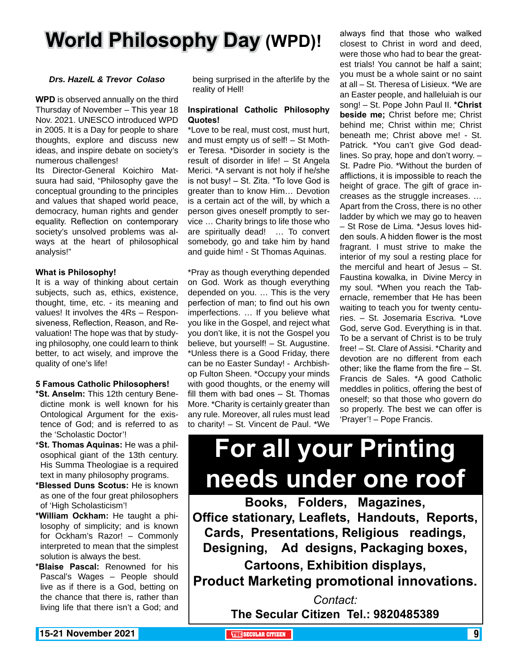# **World Philosophy Day (WPD)!**

#### *Drs. HazelL & Trevor Colaso*

**WPD** is observed annually on the third Thursday of November – This year 18 Nov. 2021. UNESCO introduced WPD in 2005. It is a Day for people to share thoughts, explore and discuss new ideas, and inspire debate on society's numerous challenges!

Its Director-General Koichiro Matsuura had said, "Philosophy gave the conceptual grounding to the principles and values that shaped world peace, democracy, human rights and gender equality. Reflection on contemporary society's unsolved problems was always at the heart of philosophical analysis!"

#### **What is Philosophy!**

It is a way of thinking about certain subjects, such as, ethics, existence, thought, time, etc. - its meaning and values! It involves the 4Rs – Responsiveness, Reflection, Reason, and Revaluation! The hope was that by studying philosophy, one could learn to think better, to act wisely, and improve the quality of one's life!

#### **5 Famous Catholic Philosophers!**

- **\*St. Anselm:** This 12th century Benedictine monk is well known for his Ontological Argument for the existence of God; and is referred to as the 'Scholastic Doctor'!
- \***St. Thomas Aquinas:** He was a philosophical giant of the 13th century. His Summa Theologiae is a required text in many philosophy programs.
- **\*Blessed Duns Scotus:** He is known as one of the four great philosophers of 'High Scholasticism'!
- **\*William Ockham:** He taught a philosophy of simplicity; and is known for Ockham's Razor! – Commonly interpreted to mean that the simplest solution is always the best.
- **\*Blaise Pascal:** Renowned for his Pascal's Wages – People should live as if there is a God, betting on the chance that there is, rather than living life that there isn't a God; and

being surprised in the afterlife by the reality of Hell!

#### **Inspirational Catholic Philosophy Quotes!**

\*Love to be real, must cost, must hurt, and must empty us of self! – St Mother Teresa. \*Disorder in society is the result of disorder in life! – St Angela Merici. \*A servant is not holy if he/she is not busy! – St. Zita. \*To love God is greater than to know Him… Devotion is a certain act of the will, by which a person gives oneself promptly to service … Charity brings to life those who are spiritually dead! … To convert somebody, go and take him by hand and guide him! - St Thomas Aquinas.

\*Pray as though everything depended on God. Work as though everything depended on you. … This is the very perfection of man; to find out his own imperfections. … If you believe what you like in the Gospel, and reject what you don't like, it is not the Gospel you believe, but yourself! – St. Augustine. \*Unless there is a Good Friday, there can be no Easter Sunday! - Archbishop Fulton Sheen. \*Occupy your minds with good thoughts, or the enemy will fill them with bad ones – St. Thomas More. \*Charity is certainly greater than any rule. Moreover, all rules must lead to charity! – St. Vincent de Paul. \*We

always find that those who walked closest to Christ in word and deed, were those who had to bear the greatest trials! You cannot be half a saint; you must be a whole saint or no saint at all – St. Theresa of Lisieux. \*We are an Easter people, and halleluiah is our song! – St. Pope John Paul II. **\*Christ beside me;** Christ before me; Christ behind me; Christ within me; Christ beneath me; Christ above me! - St. Patrick. \*You can't give God deadlines. So pray, hope and don't worry. – St. Padre Pio. \*Without the burden of afflictions, it is impossible to reach the height of grace. The gift of grace increases as the struggle increases. … Apart from the Cross, there is no other ladder by which we may go to heaven – St Rose de Lima. \*Jesus loves hidden souls. A hidden flower is the most fragrant. I must strive to make the interior of my soul a resting place for the merciful and heart of Jesus – St. Faustina kowalka, in Divine Mercy in my soul. \*When you reach the Tabernacle, remember that He has been waiting to teach you for twenty centuries. – St. Josemaria Escriva. \*Love God, serve God. Everything is in that. To be a servant of Christ is to be truly free! – St. Clare of Assisi. \*Charity and devotion are no different from each other; like the flame from the fire – St. Francis de Sales. \*A good Catholic meddles in politics, offering the best of oneself; so that those who govern do so properly. The best we can offer is 'Prayer'! – Pope Francis.

# **For all your Printing needs under one roof**

**Books, Folders, Magazines, Office stationary, Leaflets, Handouts, Reports, Cards, Presentations, Religious readings, Designing, Ad designs, Packaging boxes, Cartoons, Exhibition displays, Product Marketing promotional innovations.**

> *Contact:* **The Secular Citizen Tel.: 9820485389**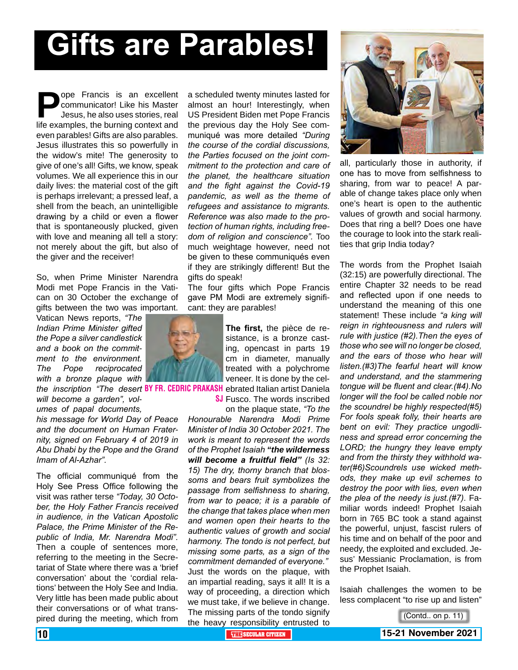# **Gifts are Parables!**

**Pope Francis is an excellent communicator! Like his Master Jesus, he also uses stories, real life examples, the burning context and** communicator! Like his Master Jesus, he also uses stories, real even parables! Gifts are also parables. Jesus illustrates this so powerfully in the widow's mite! The generosity to give of one's all! Gifts, we know, speak volumes. We all experience this in our daily lives: the material cost of the gift is perhaps irrelevant; a pressed leaf, a shell from the beach, an unintelligible drawing by a child or even a flower that is spontaneously plucked, given with love and meaning all tell a story: not merely about the gift, but also of the giver and the receiver!

So, when Prime Minister Narendra Modi met Pope Francis in the Vatican on 30 October the exchange of gifts between the two was important.

Vatican News reports, *"The Indian Prime Minister gifted the Pope a silver candlestick and a book on the commitment to the environment. The Pope reciprocated with a bronze plaque with*

*will become a garden", volumes of papal documents,*

*his message for World Day of Peace and the document on Human Fraternity, signed on February 4 of 2019 in Abu Dhabi by the Pope and the Grand Imam of Al-Azhar".*

The official communiqué from the Holy See Press Office following the visit was rather terse *"Today, 30 October, the Holy Father Francis received in audience, in the Vatican Apostolic Palace, the Prime Minister of the Republic of India, Mr. Narendra Modi".* Then a couple of sentences more, referring to the meeting in the Secretariat of State where there was a 'brief conversation' about the 'cordial relations' between the Holy See and India. Very little has been made public about their conversations or of what transpired during the meeting, which from

a scheduled twenty minutes lasted for almost an hour! Interestingly, when US President Biden met Pope Francis the previous day the Holy See communiqué was more detailed *"During the course of the cordial discussions, the Parties focused on the joint commitment to the protection and care of the planet, the healthcare situation and the fight against the Covid-19 pandemic, as well as the theme of refugees and assistance to migrants. Reference was also made to the protection of human rights, including freedom of religion and conscience".* Too much weightage however, need not be given to these communiqués even if they are strikingly different! But the gifts do speak!

The four gifts which Pope Francis gave PM Modi are extremely significant: they are parables!

the *inscription "The desert* BY FR. CEDRIC PRAKASH ebrated Italian artist Daniela **The first,** the pièce de resistance, is a bronze casting, opencast in parts 19 cm in diameter, manually treated with a polychrome veneer. It is done by the cel-

**SJ** Fusco. The words inscribed on the plaque state, *"To the*

*Honourable Narendra Modi Prime Minister of India 30 October 2021. The work is meant to represent the words of the Prophet Isaiah "the wilderness will become a fruitful field" (Is 32: 15) The dry, thorny branch that blossoms and bears fruit symbolizes the passage from selfishness to sharing, from war to peace; it is a parable of the change that takes place when men and women open their hearts to the authentic values of growth and social harmony. The tondo is not perfect, but missing some parts, as a sign of the commitment demanded of everyone."* Just the words on the plaque, with an impartial reading, says it all! It is a way of proceeding, a direction which we must take, if we believe in change. The missing parts of the tondo signify the heavy responsibility entrusted to



all, particularly those in authority, if one has to move from selfishness to sharing, from war to peace! A parable of change takes place only when one's heart is open to the authentic values of growth and social harmony. Does that ring a bell? Does one have the courage to look into the stark realities that grip India today?

The words from the Prophet Isaiah (32:15) are powerfully directional. The entire Chapter 32 needs to be read and reflected upon if one needs to understand the meaning of this one statement! These include *"a king will reign in righteousness and rulers will rule with justice (#2).Then the eyes of those who see will no longer be closed, and the ears of those who hear will listen.(#3)The fearful heart will know and understand, and the stammering tongue will be fluent and clear.(#4).No longer will the fool be called noble nor the scoundrel be highly respected(#5) For fools speak folly, their hearts are bent on evil: They practice ungodliness and spread error concerning the LORD; the hungry they leave empty and from the thirsty they withhold water(#6)Scoundrels use wicked methods, they make up evil schemes to destroy the poor with lies, even when the plea of the needy is just.(#7).* Familiar words indeed! Prophet Isaiah born in 765 BC took a stand against the powerful, unjust, fascist rulers of his time and on behalf of the poor and needy, the exploited and excluded. Jesus' Messianic Proclamation, is from the Prophet Isaiah.

Isaiah challenges the women to be less complacent "to rise up and listen"



10 **THE SECULAR CITIZEN 15-21 November 2021** (Contd.. on p. 11)

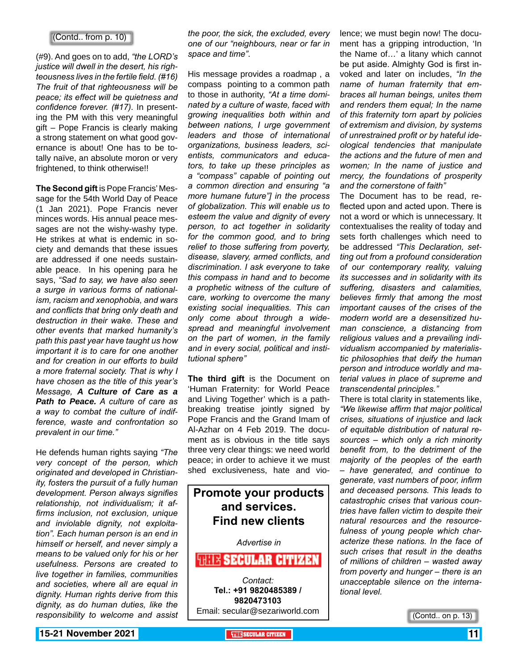#### (Contd.. from p. 10)

(#9). And goes on to add, *"the LORD's justice will dwell in the desert, his righteousness lives in the fertile field. (#16) The fruit of that righteousness will be peace; its effect will be quietness and confidence forever. (#17).* In presenting the PM with this very meaningful gift – Pope Francis is clearly making a strong statement on what good governance is about! One has to be totally naïve, an absolute moron or very frightened, to think otherwise!!

**The Second gift** is Pope Francis' Message for the 54th World Day of Peace (1 Jan 2021). Pope Francis never minces words. His annual peace messages are not the wishy-washy type. He strikes at what is endemic in society and demands that these issues are addressed if one needs sustainable peace. In his opening para he says, *"Sad to say, we have also seen a surge in various forms of nationalism, racism and xenophobia, and wars and conflicts that bring only death and destruction in their wake. These and other events that marked humanity's path this past year have taught us how important it is to care for one another and for creation in our efforts to build a more fraternal society. That is why I have chosen as the title of this year's Message, A Culture of Care as a Path to Peace. A culture of care as a way to combat the culture of indifference, waste and confrontation so prevalent in our time."*

He defends human rights saying *"The very concept of the person, which originated and developed in Christianity, fosters the pursuit of a fully human development. Person always signifies relationship, not individualism; it affirms inclusion, not exclusion, unique and inviolable dignity, not exploitation". Each human person is an end in himself or herself, and never simply a means to be valued only for his or her usefulness. Persons are created to live together in families, communities and societies, where all are equal in dignity. Human rights derive from this dignity, as do human duties, like the responsibility to welcome and assist*

*the poor, the sick, the excluded, every one of our "neighbours, near or far in space and time"*.

His message provides a roadmap , a compass pointing to a common path to those in authority, *"At a time dominated by a culture of waste, faced with growing inequalities both within and between nations, I urge government leaders and those of international organizations, business leaders, scientists, communicators and educators, to take up these principles as a "compass" capable of pointing out a common direction and ensuring "a more humane future"] in the process of globalization. This will enable us to esteem the value and dignity of every person, to act together in solidarity for the common good, and to bring relief to those suffering from poverty, disease, slavery, armed conflicts, and discrimination. I ask everyone to take this compass in hand and to become a prophetic witness of the culture of care, working to overcome the many existing social inequalities. This can only come about through a widespread and meaningful involvement on the part of women, in the family and in every social, political and institutional sphere"*

**The third gift** is the Document on 'Human Fraternity: for World Peace and Living Together' which is a pathbreaking treatise jointly signed by Pope Francis and the Grand Imam of Al-Azhar on 4 Feb 2019. The document as is obvious in the title says three very clear things: we need world peace; in order to achieve it we must shed exclusiveness, hate and vio-

#### **Promote your products and services. Find new clients**

*Advertise in*

**WHIR SECULAR CITIZEN** *Contact:* **Tel.: +91 9820485389 / 9820473103** Email: secular@sezariworld.com

lence; we must begin now! The document has a gripping introduction, 'In the Name of…' a litany which cannot be put aside. Almighty God is first invoked and later on includes, *"In the name of human fraternity that embraces all human beings, unites them and renders them equal; In the name of this fraternity torn apart by policies of extremism and division, by systems of unrestrained profit or by hateful ideological tendencies that manipulate the actions and the future of men and women; In the name of justice and mercy, the foundations of prosperity and the cornerstone of faith"*

The Document has to be read, reflected upon and acted upon. There is not a word or which is unnecessary. It contextualises the reality of today and sets forth challenges which need to be addressed *"This Declaration, setting out from a profound consideration of our contemporary reality, valuing its successes and in solidarity with its suffering, disasters and calamities, believes firmly that among the most important causes of the crises of the modern world are a desensitized human conscience, a distancing from religious values and a prevailing individualism accompanied by materialistic philosophies that deify the human person and introduce worldly and material values in place of supreme and transcendental principles."*

There is total clarity in statements like, *"We likewise affirm that major political crises, situations of injustice and lack of equitable distribution of natural resources – which only a rich minority benefit from, to the detriment of the majority of the peoples of the earth – have generated, and continue to generate, vast numbers of poor, infirm and deceased persons. This leads to catastrophic crises that various countries have fallen victim to despite their natural resources and the resourcefulness of young people which characterize these nations. In the face of such crises that result in the deaths of millions of children – wasted away from poverty and hunger – there is an unacceptable silence on the international level.*

(Contd.. on p. 13)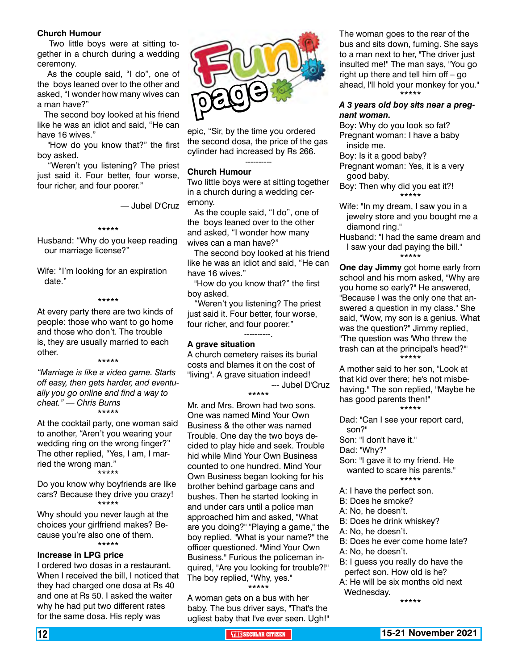#### **Church Humour**

 Two little boys were at sitting together in a church during a wedding ceremony.

 As the couple said, "I do", one of the boys leaned over to the other and asked, "I wonder how many wives can a man have?"

 The second boy looked at his friend like he was an idiot and said, "He can have 16 wives."

 "How do you know that?" the first boy asked.

 "Weren't you listening? The priest just said it. Four better, four worse, four richer, and four poorer."

— Jubel D'Cruz

#### \*\*\*\*\*

Husband: "Why do you keep reading our marriage license?"

Wife: "I'm looking for an expiration date."

#### \*\*\*\*\*

At every party there are two kinds of people: those who want to go home and those who don't. The trouble is, they are usually married to each other.

\*\*\*\*\*

*"Marriage is like a video game. Starts off easy, then gets harder, and eventually you go online and find a way to cheat." — Chris Burns* \*\*\*\*\*

At the cocktail party, one woman said to another, "Aren't you wearing your wedding ring on the wrong finger?" The other replied, "Yes, I am, I married the wrong man."

\*\*\*\*\*

Do you know why boyfriends are like cars? Because they drive you crazy! \*\*\*\*\*

Why should you never laugh at the choices your girlfriend makes? Because you're also one of them. \*\*\*\*\*

#### **Increase in LPG price**

I ordered two dosas in a restaurant. When I received the bill, I noticed that they had charged one dosa at Rs 40 and one at Rs 50. I asked the waiter why he had put two different rates for the same dosa. His reply was



epic, "Sir, by the time you ordered the second dosa, the price of the gas cylinder had increased by Rs 266.

----------

#### **Church Humour**

Two little boys were at sitting together in a church during a wedding ceremony.

 As the couple said, "I do", one of the boys leaned over to the other and asked, "I wonder how many wives can a man have?"

 The second boy looked at his friend like he was an idiot and said, "He can have 16 wives."

 "How do you know that?" the first boy asked.

 "Weren't you listening? The priest just said it. Four better, four worse, four richer, and four poorer."

#### **A grave situation**

A church cemetery raises its burial costs and blames it on the cost of "living". A grave situation indeed! --- Jubel D'Cruz

----------.

\*\*\*\*\*

Mr. and Mrs. Brown had two sons. One was named Mind Your Own Business & the other was named Trouble. One day the two boys decided to play hide and seek. Trouble hid while Mind Your Own Business counted to one hundred. Mind Your Own Business began looking for his brother behind garbage cans and bushes. Then he started looking in and under cars until a police man approached him and asked, "What are you doing?" "Playing a game," the boy replied. "What is your name?" the officer questioned. "Mind Your Own Business." Furious the policeman inquired, "Are you looking for trouble?!" The boy replied, "Why, yes." \*\*\*\*\*

A woman gets on a bus with her baby. The bus driver says, "That's the ugliest baby that I've ever seen. Ugh!" The woman goes to the rear of the bus and sits down, fuming. She says to a man next to her, "The driver just insulted me!" The man says, "You go right up there and tell him off  $-$  go ahead, I'll hold your monkey for you." \*\*\*\*\*

#### *A 3 years old boy sits near a pregnant woman.*

Boy: Why do you look so fat? Pregnant woman: I have a baby inside me.

Boy: Is it a good baby?

Pregnant woman: Yes, it is a very good baby.

#### Boy: Then why did you eat it?! \*\*\*\*\*

- Wife: "In my dream, I saw you in a jewelry store and you bought me a diamond ring."
- Husband: "I had the same dream and I saw your dad paying the bill." \*\*\*\*\*

**One day Jimmy** got home early from school and his mom asked, "Why are you home so early?" He answered, "Because I was the only one that answered a question in my class." She said, "Wow, my son is a genius. What was the question?" Jimmy replied, "The question was 'Who threw the trash can at the principal's head?'" .<br>\*\*\*\*\*

A mother said to her son, "Look at that kid over there; he's not misbehaving." The son replied, "Maybe he has good parents then!" \*\*\*\*\*

Dad: "Can I see your report card, son?"

Son: "I don't have it."

- Dad: "Why?"
- Son: "I gave it to my friend. He wanted to scare his parents." \*\*\*\*\*
- A: I have the perfect son.
- B: Does he smoke?
- A: No, he doesn't.
- B: Does he drink whiskey?
- A: No, he doesn't.
- B: Does he ever come home late?
- A: No, he doesn't.
- B: I guess you really do have the perfect son. How old is he?
- A: He will be six months old next Wednesday.

\*\*\*\*\*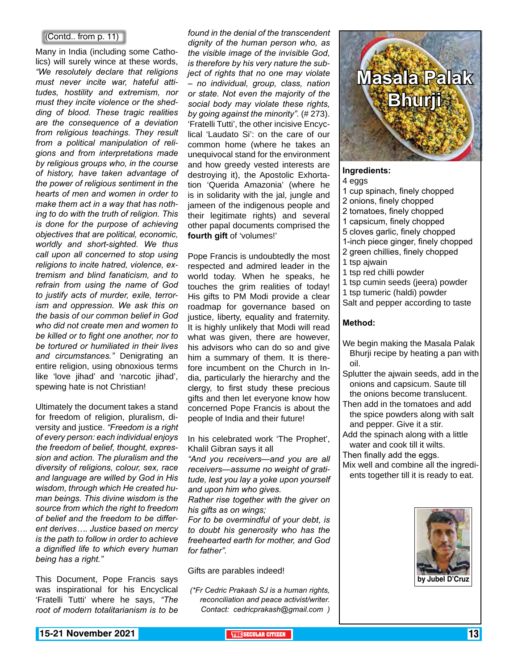#### (Contd.. from p. 11)

Many in India (including some Catholics) will surely wince at these words, *"We resolutely declare that religions must never incite war, hateful attitudes, hostility and extremism, nor must they incite violence or the shedding of blood. These tragic realities are the consequence of a deviation from religious teachings. They result from a political manipulation of religions and from interpretations made by religious groups who, in the course of history, have taken advantage of the power of religious sentiment in the hearts of men and women in order to make them act in a way that has nothing to do with the truth of religion. This is done for the purpose of achieving objectives that are political, economic, worldly and short-sighted. We thus call upon all concerned to stop using religions to incite hatred, violence, extremism and blind fanaticism, and to refrain from using the name of God to justify acts of murder, exile, terrorism and oppression. We ask this on the basis of our common belief in God who did not create men and women to be killed or to fight one another, nor to be tortured or humiliated in their lives and circumstances."* Denigrating an entire religion, using obnoxious terms like 'love jihad' and 'narcotic jihad', spewing hate is not Christian!

Ultimately the document takes a stand for freedom of religion, pluralism, diversity and justice. *"Freedom is a right of every person: each individual enjoys the freedom of belief, thought, expression and action. The pluralism and the diversity of religions, colour, sex, race and language are willed by God in His wisdom, through which He created human beings. This divine wisdom is the source from which the right to freedom of belief and the freedom to be different derives…. Justice based on mercy is the path to follow in order to achieve a dignified life to which every human being has a right."*

This Document, Pope Francis says was inspirational for his Encyclical 'Fratelli Tutti' where he says, *"The root of modern totalitarianism is to be*

*found in the denial of the transcendent dignity of the human person who, as the visible image of the invisible God, is therefore by his very nature the subject of rights that no one may violate – no individual, group, class, nation or state. Not even the majority of the social body may violate these rights, by going against the minority".* (# 273). 'Fratelli Tutti', the other incisive Encyclical 'Laudato Si': on the care of our common home (where he takes an unequivocal stand for the environment and how greedy vested interests are destroying it), the Apostolic Exhortation 'Querida Amazonia' (where he is in solidarity with the jal, jungle and jameen of the indigenous people and their legitimate rights) and several other papal documents comprised the **fourth gift** of 'volumes!'

Pope Francis is undoubtedly the most respected and admired leader in the world today. When he speaks, he touches the grim realities of today! His gifts to PM Modi provide a clear roadmap for governance based on justice, liberty, equality and fraternity. It is highly unlikely that Modi will read what was given, there are however, his advisors who can do so and give him a summary of them. It is therefore incumbent on the Church in India, particularly the hierarchy and the clergy, to first study these precious gifts and then let everyone know how concerned Pope Francis is about the people of India and their future!

In his celebrated work 'The Prophet', Khalil Gibran says it all

*"And you receivers—and you are all receivers—assume no weight of gratitude, lest you lay a yoke upon yourself and upon him who gives.*

*Rather rise together with the giver on his gifts as on wings;*

*For to be overmindful of your debt, is to doubt his generosity who has the freehearted earth for mother, and God for father".*

Gifts are parables indeed!

*(\*Fr Cedric Prakash SJ is a human rights, reconciliation and peace activist/writer. Contact: cedricprakash@gmail.com )*

# **Masala Palak Bhurji**

#### **Ingredients:**

#### 4 eggs

- 1 cup spinach, finely chopped
- 2 onions, finely chopped
- 2 tomatoes, finely chopped
- 1 capsicum, finely chopped
- 5 cloves garlic, finely chopped
- 1-inch piece ginger, finely chopped
- 2 green chillies, finely chopped 1 tsp ajwain
- 1 tsp red chilli powder
- 1 tsp cumin seeds (jeera) powder
- 1 tsp tumeric (haldi) powder
- Salt and pepper according to taste

#### **Method:**

- We begin making the Masala Palak Bhurji recipe by heating a pan with oil.
- Splutter the ajwain seeds, add in the onions and capsicum. Saute till the onions become translucent.
- Then add in the tomatoes and add the spice powders along with salt and pepper. Give it a stir.
- Add the spinach along with a little water and cook till it wilts.
- Then finally add the eggs. Mix well and combine all the ingredi-
- ents together till it is ready to eat.

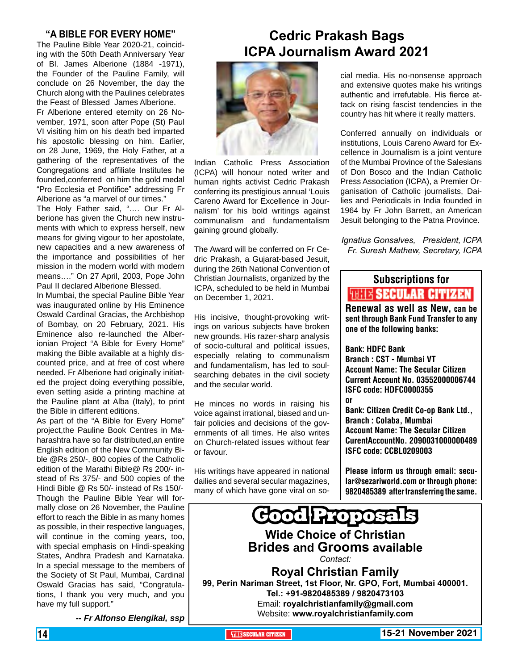#### **"A BIBLE FOR EVERY HOME"**

The Pauline Bible Year 2020-21, coinciding with the 50th Death Anniversary Year of Bl. James Alberione (1884 -1971), the Founder of the Pauline Family, will conclude on 26 November, the day the Church along with the Paulines celebrates the Feast of Blessed James Alberione.

Fr Alberione entered eternity on 26 November, 1971, soon after Pope (St) Paul VI visiting him on his death bed imparted his apostolic blessing on him. Earlier, on 28 June, 1969, the Holy Father, at a gathering of the representatives of the Congregations and affiliate Institutes he founded,conferred on him the gold medal "Pro Ecclesia et Pontifice" addressing Fr Alberione as "a marvel of our times."

The Holy Father said, "…. Our Fr Alberione has given the Church new instruments with which to express herself, new means for giving vigour to her apostolate, new capacities and a new awareness of the importance and possibilities of her mission in the modern world with modern means…." On 27 April, 2003, Pope John Paul II declared Alberione Blessed.

In Mumbai, the special Pauline Bible Year was inaugurated online by His Eminence Oswald Cardinal Gracias, the Archbishop of Bombay, on 20 February, 2021. His Eminence also re-launched the Alberionian Project "A Bible for Every Home" making the Bible available at a highly discounted price, and at free of cost where needed. Fr Alberione had originally initiated the project doing everything possible, even setting aside a printing machine at the Pauline plant at Alba (Italy), to print the Bible in different editions.

As part of the "A Bible for Every Home" project,the Pauline Book Centres in Maharashtra have so far distributed,an entire English edition of the New Community Bible @Rs 250/-, 800 copies of the Catholic edition of the Marathi Bible@ Rs 200/- instead of Rs 375/- and 500 copies of the Hindi Bible @ Rs 50/- instead of Rs 150/- Though the Pauline Bible Year will formally close on 26 November, the Pauline effort to reach the Bible in as many homes as possible, in their respective languages, will continue in the coming years, too, with special emphasis on Hindi-speaking States, Andhra Pradesh and Karnataka. In a special message to the members of the Society of St Paul, Mumbai, Cardinal Oswald Gracias has said, "Congratulations, I thank you very much, and you have my full support."

 *-- Fr Alfonso Elengikal, ssp*

### **Cedric Prakash Bags ICPA Journalism Award 2021**



Indian Catholic Press Association (ICPA) will honour noted writer and human rights activist Cedric Prakash conferring its prestigious annual 'Louis Careno Award for Excellence in Journalism' for his bold writings against communalism and fundamentalism gaining ground globally.

The Award will be conferred on Fr Cedric Prakash, a Gujarat-based Jesuit, during the 26th National Convention of Christian Journalists, organized by the ICPA, scheduled to be held in Mumbai on December 1, 2021.

His incisive, thought-provoking writings on various subjects have broken new grounds. His razer-sharp analysis of socio-cultural and political issues, especially relating to communalism and fundamentalism, has led to soulsearching debates in the civil society and the secular world.

He minces no words in raising his voice against irrational, biased and unfair policies and decisions of the governments of all times. He also writes on Church-related issues without fear or favour.

His writings have appeared in national dailies and several secular magazines, many of which have gone viral on social media. His no-nonsense approach and extensive quotes make his writings authentic and irrefutable. His fierce attack on rising fascist tendencies in the country has hit where it really matters.

Conferred annually on individuals or institutions, Louis Careno Award for Excellence in Journalism is a joint venture of the Mumbai Province of the Salesians of Don Bosco and the Indian Catholic Press Association (ICPA), a Premier Organisation of Catholic journalists, Dailies and Periodicals in India founded in 1964 by Fr John Barrett, an American Jesuit belonging to the Patna Province.

*Ignatius Gonsalves, President, ICPA Fr. Suresh Mathew, Secretary, ICPA*

### Subscriptions for **THIT'S SECULAR CITIZEN**<br>Renewal as well as New, can be

sent through Bank Fund Transfer to any one of the following banks:

Bank: HDFC Bank Branch : CST - Mumbai VT Account Name: The Secular Citizen Current Account No. 03552000006744 ISFC code: HDFC0000355 or

Bank: Citizen Credit Co-op Bank Ltd., Branch : Colaba, Mumbai Account Name: The Secular Citizen CurentAccountNo. 2090031000000489 ISFC code: CCBL0209003

Please inform us through email: secular@sezariworld.com or through phone: 9820485389 after transferring the same.

**Good Proposa Wide Choice of Christian Brides and Grooms available** *Contact:* **Royal Christian Family 99, Perin Nariman Street, 1st Floor, Nr. GPO, Fort, Mumbai 400001. Tel.: +91-9820485389 / 9820473103** Email: **royalchristianfamily@gmail.com** Website: **www.royalchristianfamily.com**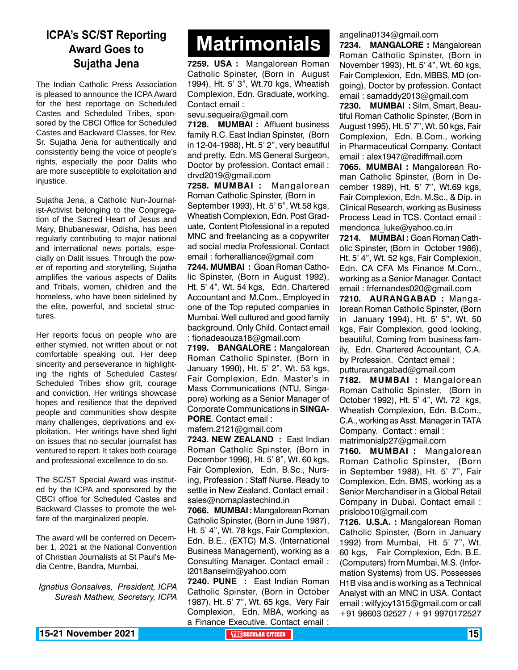## **Award Goes to Sujatha Jena**

The Indian Catholic Press Association is pleased to announce the ICPA Award for the best reportage on Scheduled Castes and Scheduled Tribes, sponsored by the CBCI Office for Scheduled Castes and Backward Classes, for Rev. Sr. Sujatha Jena for authentically and consistently being the voice of people's rights, especially the poor Dalits who are more susceptible to exploitation and injustice.

Sujatha Jena, a Catholic Nun-Journalist-Activist belonging to the Congregation of the Sacred Heart of Jesus and Mary, Bhubaneswar, Odisha, has been regularly contributing to major national and international news portals, especially on Dalit issues. Through the power of reporting and storytelling, Sujatha amplifies the various aspects of Dalits and Tribals, women, children and the homeless, who have been sidelined by the elite, powerful, and societal structures.

Her reports focus on people who are either stymied, not written about or not comfortable speaking out. Her deep sincerity and perseverance in highlighting the rights of Scheduled Castes/ Scheduled Tribes show grit, courage and conviction. Her writings showcase hopes and resilience that the deprived people and communities show despite many challenges, deprivations and exploitation. Her writings have shed light on issues that no secular journalist has ventured to report. It takes both courage and professional excellence to do so.

The SC/ST Special Award was instituted by the ICPA and sponsored by the CBCI office for Scheduled Castes and Backward Classes to promote the welfare of the marginalized people.

The award will be conferred on December 1, 2021 at the National Convention of Christian Journalists at St Paul's Media Centre, Bandra, Mumbai.

*Ignatius Gonsalves, President, ICPA Suresh Mathew, Secretary, ICPA*

# **Matrimonials Matrimonials ICPA's SC/ST Reporting**

**7259. USA :** Mangalorean Roman Catholic Spinster, (Born in August 1994), Ht. 5' 3", Wt.70 kgs, Wheatish Complexion, Edn. Graduate, working. Contact email :

sevu.sequeira@gmail.com

**7128. MUMBAI :** Affluent business family R.C. East Indian Spinster, (Born in 12-04-1988), Ht. 5' 2", very beautiful and pretty. Edn. MS General Surgeon, Doctor by profession. Contact email : drvd2019@gmail.com

**7258. MUMBAI :** Mangalorean Roman Catholic Spinster, (Born in September 1993), Ht. 5' 5", Wt.58 kgs, Wheatish Complexion, Edn. Post Graduate, Content Ptofessional in a reputed MNC and freelancing as a copywriter ad social media Professional. Contact email : forheralliance@gmail.com

**7244. MUMBAI :** Goan Roman Catholic Spinster, (Born in August 1992), Ht. 5' 4", Wt. 54 kgs, Edn. Chartered Accountant and M.Com., Employed in one of the Top reputed companies in Mumbai. Well cultured and good family background. Only Child. Contact email : fionadesouza18@gmail.com

**7199. BANGALORE :** Mangalorean Roman Catholic Spinster, (Born in January 1990), Ht. 5' 2", Wt. 53 kgs, Fair Complexion, Edn. Master's in Mass Communications (NTU, Singapore) working as a Senior Manager of Corporate Communications in **SINGA-PORE**. Contact email :

mafern.2121@gmail.com

**7243. NEW ZEALAND :** East Indian Roman Catholic Spinster, (Born in December 1996), Ht. 5' 8", Wt. 60 kgs, Fair Complexion, Edn. B.Sc., Nursing, Profession : Staff Nurse. Ready to settle in New Zealand. Contact email : sales@nomaplastechind.in

**7066. MUMBAI :** Mangalorean Roman Catholic Spinster, (Born in June 1987), Ht. 5' 4", Wt. 78 kgs, Fair Complexion, Edn. B.E., (EXTC) M.S. (International Business Management), working as a Consulting Manager. Contact email : l2018anselm@yahoo.com

**7240. PUNE :** East Indian Roman Catholic Spinster, (Born in October 1987), Ht. 5' 7", Wt. 65 kgs, Very Fair Complexion, Edn. MBA, working as a Finance Executive. Contact email : angelina0134@gmail.com

**7234. MANGALORE :** Mangalorean Roman Catholic Spinster, (Born in November 1993), Ht. 5' 4", Wt. 60 kgs, Fair Complexion, Edn. MBBS, MD (ongoing), Doctor by profession. Contact email : samaddy2013@gmail.com

**7230. MUMBAI :** Silm, Smart, Beautiful Roman Catholic Spinster, (Born in August 1995), Ht. 5' 7", Wt. 50 kgs, Fair Complexion, Edn. B.Com., working in Pharmaceutical Company. Contact email : alex1947@rediffmail.com

**7065. MUMBAI :** Mangalorean Roman Catholic Spinster, (Born in December 1989), Ht. 5' 7", Wt.69 kgs, Fair Complexion, Edn. M.Sc., & Dip. in Clinical Research, working as Business Process Lead in TCS. Contact email : mendonca\_luke@yahoo.co.in

**7214. MUMBAI :** Goan Roman Catholic Spinster, (Born in October 1986), Ht. 5' 4", Wt. 52 kgs, Fair Complexion, Edn. CA CFA Ms Finance M.Com., working as a Senior Manager. Contact email : frfernandes020@gmail.com

**7210. AURANGABAD :** Mangalorean Roman Catholic Spinster, (Born in January 1994), Ht. 5' 5", Wt. 50 kgs, Fair Complexion, good looking, beautiful, Coming from business family, Edn. Chartered Accountant, C.A. by Profession. Contact email : putturaurangabad@gmail.com

**7182. MUMBAI :** Mangalorean Roman Catholic Spinster, (Born in October 1992), Ht. 5' 4", Wt. 72 kgs, Wheatish Complexion, Edn. B.Com., C.A., working as Asst. Manager in TATA Company. Contact : email : matrimonialp27@gmail.com

**7160. MUMBAI :** Mangalorean Roman Catholic Spinster, (Born in September 1988), Ht. 5' 7", Fair Complexion, Edn. BMS, working as a Senior Merchandiser in a Global Retail Company in Dubai. Contact email : prislobo10@gmail.com

**7126. U.S.A. :** Mangalorean Roman Catholic Spinster, (Born in January 1992) from Mumbai, Ht. 5' 7", Wt. 60 kgs, Fair Complexion, Edn. B.E. (Computers) from Mumbai, M.S. (Information Systems) from US. Possesses H1B visa and is working as a Technical Analyst with an MNC in USA. Contact email : wilfyjoy1315@gmail.com or call +91 98603 02527 / + 91 9970172527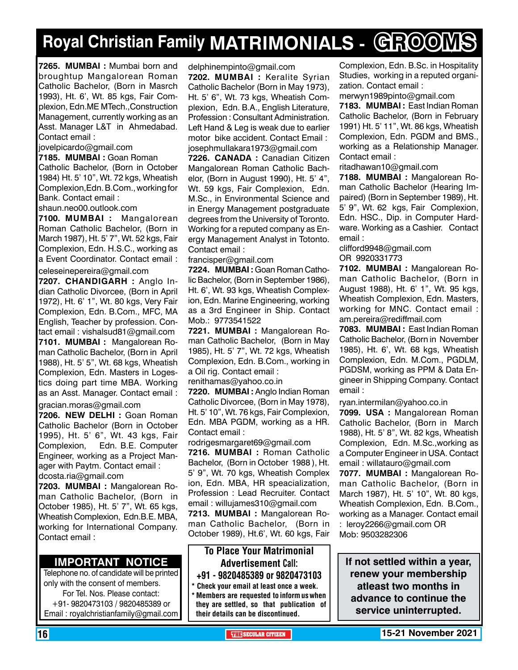# **Royal Christian Family MATRIMONIALS - GROOMS**

**7265. MUMBAI :** Mumbai born and broughtup Mangalorean Roman Catholic Bachelor, (Born in Masrch 1993), Ht. 6', Wt. 85 kgs, Fair Complexion, Edn.ME MTech.,Construction Management, currently working as an Asst. Manager L&T in Ahmedabad. Contact email :

jovelpicardo@gmail.com

**7185. MUMBAI :** Goan Roman Catholic Bachelor, (Born in October 1984) Ht. 5' 10", Wt. 72 kgs, Wheatish Complexion,Edn. B.Com., working for Bank. Contact email :

shaun.neo00.outlook.com

**7100. MUMBAI :** Mangalorean Roman Catholic Bachelor, (Born in March 1987), Ht. 5' 7", Wt. 52 kgs, Fair Complexion, Edn. H.S.C., working as a Event Coordinator. Contact email :

celeseinepereira@gmail.com

**7207. Chandigarh :** Anglo Indian Catholic Divorcee, (Born in April 1972), Ht. 6' 1", Wt. 80 kgs, Very Fair Complexion, Edn. B.Com., MFC, MA English, Teacher by profession. Contact email : vishalsud81@gmail.com **7101. MUMBAI :** Mangalorean Roman Catholic Bachelor, (Born in April 1988), Ht. 5' 5", Wt. 68 kgs, Wheatish Complexion, Edn. Masters in Logestics doing part time MBA. Working as an Asst. Manager. Contact email :

gracian.moras@gmail.com

**7206. new delhi :** Goan Roman Catholic Bachelor (Born in October 1995), Ht. 5' 6", Wt. 43 kgs, Fair Complexion, Edn. B.E. Computer Engineer, working as a Project Manager with Paytm. Contact email :

dcosta.ria@gmail.com

**7203. MUMBAI :** Mangalorean Roman Catholic Bachelor, (Born in October 1985), Ht. 5' 7", Wt. 65 kgs, Wheatish Complexion, Edn.B.E. MBA, working for International Company. Contact email :

#### **Important Notice**

Telephone no. of candidate will be printed only with the consent of members. For Tel. Nos. Please contact: +91- 9820473103 / 9820485389 or Email : royalchristianfamily@gmail.com

delphinempinto@gmail.com

**7202. MUMBAI :** Keralite Syrian Catholic Bachelor (Born in May 1973), Ht. 5' 6", Wt. 73 kgs, Wheatish Complexion, Edn. B.A., English Literature, Profession : Consultant Administration. Left Hand & Leg is weak due to earlier motor bike accident. Contact Email : josephmullakara1973@gmail.com

**7226. CANADA :** Canadian Citizen Mangalorean Roman Catholic Bachelor, (Born in August 1990), Ht. 5' 4", Wt. 59 kgs, Fair Complexion, Edn. M.Sc., in Environmental Science and in Energy Management postgraduate degrees from the University of Toronto. Working for a reputed company as Energy Management Analyst in Totonto. Contact email :

francisper@gmail.com

**7224. MUMBAI :** Goan Roman Catholic Bachelor, (Born in September 1986), Ht. 6', Wt. 93 kgs, Wheatish Complexion, Edn. Marine Engineering, working as a 3rd Engineer in Ship. Contact Mob.: 9773541522

**7221. MUMBAI :** Mangalorean Roman Catholic Bachelor, (Born in May 1985), Ht. 5' 7", Wt. 72 kgs, Wheatish Complexion, Edn. B.Com., working in a Oil rig. Contact email :

renithamas@yahoo.co.in

**7220. MUMBAI :** Anglo Indian Roman Catholic Divorcee, (Born in May 1978), Ht. 5' 10", Wt. 76 kgs, Fair Complexion, Edn. MBA PGDM, working as a HR. Contact email :

rodrigesmargaret69@gmail.com

**7216. MUMBAI :** Roman Catholic Bachelor, (Born in October 1988 ), Ht. 5' 9", Wt. 70 kgs, Wheatish Complex ion, Edn. MBA, HR speacialization, Profession : Lead Recruiter. Contact email : willujames310@gmail.com

**7213. MUMBAI :** Mangalorean Roman Catholic Bachelor, (Born in October 1989), Ht.6', Wt. 60 kgs, Fair

#### To Place Your Matrimonial Advertisement Call: +91 - 9820485389 or 9820473103

Check your email at least once a week.

**Members are requested to inform us when** they are settled, so that publication of their details can be discontinued.

Complexion, Edn. B.Sc. in Hospitality Studies, working in a reputed organization. Contact email :

merwyn1989pinto@gmail.com **7183. MUMBAI :** East Indian Roman Catholic Bachelor, (Born in February 1991) Ht. 5' 11", Wt. 86 kgs, Wheatish Complexion, Edn. PGDM and BMS., working as a Relationship Manager. Contact email :

ritadhawan10@gmail.com

**7188. MUMBAI :** Mangalorean Roman Catholic Bachelor (Hearing Impaired) (Born in September 1989), Ht. 5' 9", Wt. 62 kgs, Fair Complexion, Edn. HSC., Dip. in Computer Hardware. Working as a Cashier. Contact email :

clifford9948@gmail.com

OR 9920331773

**7102. MUMBAI :** Mangalorean Roman Catholic Bachelor, (Born in August 1988), Ht. 6' 1", Wt. 95 kgs, Wheatish Complexion, Edn. Masters, working for MNC. Contact email : am.pereira@rediffmail.com

**7083. MUMBAI :** East Indian Roman Catholic Bachelor, (Born in November 1985), Ht. 6', Wt. 68 kgs, Wheatish Complexion, Edn. M.Com., PGDLM, PGDSM, working as PPM & Data Engineer in Shipping Company. Contact email :

ryan.intermilan@yahoo.co.in **7099. USA :** Mangalorean Roman Catholic Bachelor, (Born in March 1988), Ht. 5' 8", Wt. 82 kgs, Wheatish Complexion, Edn. M.Sc.,working as a Computer Engineer in USA. Contact email : willatauro@gmail.com **7077. MUMBAI :** Mangalorean Ro-

man Catholic Bachelor, (Born in March 1987), Ht. 5' 10", Wt. 80 kgs, Wheatish Complexion, Edn. B.Com., working as a Manager. Contact email : leroy2266@gmail.com OR Mob: 9503282306

**If not settled within a year, renew your membership atleast two months in advance to continue the service uninterrupted.**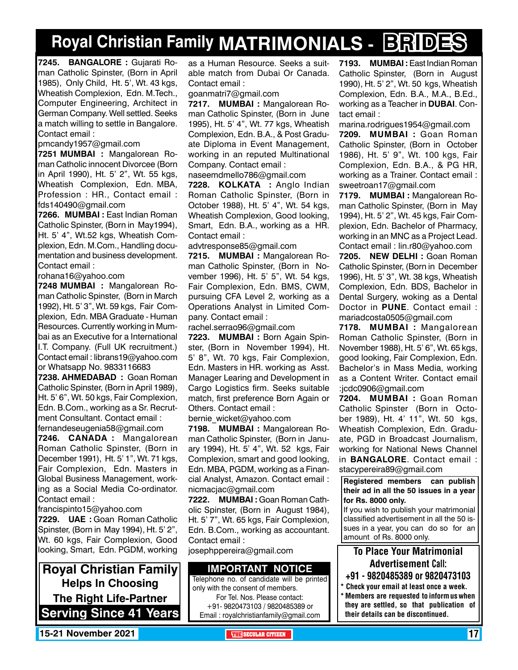# **Royal Christian Family MATRIMONIALS - BRIDES**

**7245. BANGALORE :** Gujarati Roman Catholic Spinster, (Born in April 1985), Only Child, Ht. 5', Wt. 43 kgs, Wheatish Complexion, Edn. M.Tech., Computer Engineering, Architect in German Company. Well settled. Seeks a match willing to settle in Bangalore. Contact email :

pmcandy1957@gmail.com

**7251 MUMBAI :** Mangalorean Roman Catholic innocent Divorcee (Born in April 1990), Ht. 5' 2", Wt. 55 kgs, Wheatish Complexion, Edn. MBA, Profession : HR., Contact email : fds140490@gmail.com

**7266. MUMBAI :** East Indian Roman Catholic Spinster, (Born in May1994), Ht. 5' 4", Wt.52 kgs, Wheatish Complexion, Edn. M.Com., Handling documentation and business development. Contact email :

rohana16@yahoo.com

**7248 MUMBAI :** Mangalorean Roman Catholic Spinster, (Born in March 1992), Ht. 5' 3", Wt. 59 kgs, Fair Complexion, Edn. MBA Graduate - Human Resources. Currently working in Mumbai as an Executive for a International I.T. Company. (Full UK recruitment.) Contact email : librans19@yahoo.com or Whatsapp No. 9833116683

**7238. AHMEDABAD :** Goan Roman Catholic Spinster, (Born in April 1989), Ht. 5' 6", Wt. 50 kgs, Fair Complexion, Edn. B.Com., working as a Sr. Recrutment Consultant. Contact email : fernandeseugenia58@gmail.com

**7246. CANADA :** Mangalorean Roman Catholic Spinster, (Born in December 1991), Ht. 5' 1", Wt. 71 kgs, Fair Complexion, Edn. Masters in Global Business Management, working as a Social Media Co-ordinator. Contact email :

francispinto15@yahoo.com

**7229. UAE :** Goan Roman Catholic Spinster, (Born in May 1994), Ht. 5' 2", Wt. 60 kgs, Fair Complexion, Good looking, Smart, Edn. PGDM, working

**Royal Christian Family Helps In Choosing The Right Life-Partner Serving Since 41 Years** as a Human Resource. Seeks a suitable match from Dubai Or Canada. Contact email :

goanmatri7@gmail.com

**7217. MUMBAI :** Mangalorean Roman Catholic Spinster, (Born in June 1995), Ht. 5' 4", Wt. 77 kgs, Wheatish Complexion, Edn. B.A., & Post Graduate Diploma in Event Management, working in an reputed Multinational Company. Contact email :

naseemdmello786@gmail.com

**7228. KOLKATA :** Anglo Indian Roman Catholic Spinster, (Born in October 1988), Ht. 5' 4", Wt. 54 kgs, Wheatish Complexion, Good looking, Smart, Edn. B.A., working as a HR. Contact email :

advtresponse85@gmail.com

**7215. MUMBAI :** Mangalorean Roman Catholic Spinster, (Born in November 1996), Ht. 5' 5", Wt. 54 kgs, Fair Complexion, Edn. BMS, CWM, pursuing CFA Level 2, working as a Operations Analyst in Limited Company. Contact email :

rachel.serrao96@gmail.com

**7223. MUMBAI :** Born Again Spinster, (Born in November 1994), Ht. 5' 8", Wt. 70 kgs, Fair Complexion, Edn. Masters in HR. working as Asst. Manager Learing and Development in Cargo Logistics firm. Seeks suitable match, first preference Born Again or Others. Contact email :

bernie\_wicket@yahoo.com

**7198. MUMBAI :** Mangalorean Roman Catholic Spinster, (Born in January 1994), Ht. 5' 4", Wt. 52 kgs, Fair Complexion, smart and good looking, Edn. MBA, PGDM, working as a Financial Analyst, Amazon. Contact email : nicmacjac@gmail.com

**7222. MUMBAI :** Goan Roman Catholic Spinster, (Born in August 1984), Ht. 5' 7", Wt. 65 kgs, Fair Complexion, Edn. B.Com., working as accountant. Contact email :

josephppereira@gmail.com

#### **Important Notice**

Telephone no. of candidate will be printed only with the consent of members. For Tel. Nos. Please contact:

+91- 9820473103 / 9820485389 or Email : royalchristianfamily@gmail.com **7193. MUMBAI :** East Indian Roman Catholic Spinster, (Born in August 1990), Ht. 5' 2", Wt. 50 kgs, Wheatish Complexion, Edn. B.A., M.A., B.Ed., working as a Teacher in **Dubai**. Contact email :

marina.rodrigues1954@gmail.com **7209. MUMBAI :** Goan Roman Catholic Spinster, (Born in October 1986), Ht. 5' 9", Wt. 100 kgs, Fair Complexion, Edn. B.A., & PG HR, working as a Trainer. Contact email : sweetroan17@gmail.com

**7179. MUMBAI :** Mangalorean Roman Catholic Spinster, (Born in May 1994), Ht. 5' 2", Wt. 45 kgs, Fair Complexion, Edn. Bachelor of Pharmacy, working in an MNC as a Project Lead. Contact email : lin.r80@yahoo.com

**7205. NEW DELHI :** Goan Roman Catholic Spinster, (Born in December 1996), Ht. 5' 3", Wt. 38 kgs, Wheatish Complexion, Edn. BDS, Bachelor in Dental Surgery, woking as a Dental Doctor in **PUNE**. Contact email : mariadcosta0505@gmail.com

**7178. MUMBAI :** Mangalorean Roman Catholic Spinster, (Born in November 1988), Ht. 5' 6", Wt. 65 kgs, good looking, Fair Complexion, Edn. Bachelor's in Mass Media, working as a Content Writer. Contact email :jcdc0906@gmail.com

**7204. MUMBAI :** Goan Roman Catholic Spinster (Born in October 1989), Ht. 4' 11", Wt. 50 kgs, Wheatish Complexion, Edn. Graduate, PGD in Broadcast Journalism, working for National News Channel in **Bangalore**. Contact email : stacypereira89@gmail.com

**Registered members can publish their ad in all the 50 issues in a year for Rs. 8000 only.**

If you wish to publish your matrimonial classified advertisement in all the 50 issues in a year, you can do so for an amount of Rs. 8000 only.

#### To Place Your Matrimonial Advertisement Call:

- +91 9820485389 or 9820473103
- \* Check your email at least once a week. Members are requested to inform us when they are settled, so that publication of their details can be discontinued.

**15-21 November 2021 The Security of the SECULAR CITIZEN THE THE THE THE THE THE THE THE THE THE**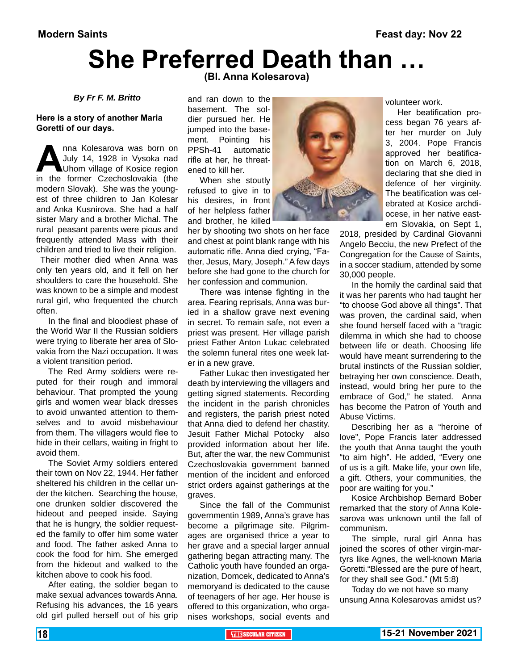### **She Preferred Death than … (Bl. Anna Kolesarova)**

#### *By Fr F. M. Britto*

#### **Here is a story of another Maria Goretti of our days.**

**Anna Kolesarova was born on July 14, 1928 in Vysoka nad Uhom village of Kosice region in the former Czechoslovakia (the** July 14, 1928 in Vysoka nad Uhom village of Kosice region modern Slovak). She was the youngest of three children to Jan Kolesar and Anka Kusnirova. She had a half sister Mary and a brother Michal. The rural peasant parents were pious and frequently attended Mass with their children and tried to live their religion.

 Their mother died when Anna was only ten years old, and it fell on her shoulders to care the household. She was known to be a simple and modest rural girl, who frequented the church often.

In the final and bloodiest phase of the World War II the Russian soldiers were trying to liberate her area of Slovakia from the Nazi occupation. It was a violent transition period.

The Red Army soldiers were reputed for their rough and immoral behaviour. That prompted the young girls and women wear black dresses to avoid unwanted attention to themselves and to avoid misbehaviour from them. The villagers would flee to hide in their cellars, waiting in fright to avoid them.

The Soviet Army soldiers entered their town on Nov 22, 1944. Her father sheltered his children in the cellar under the kitchen. Searching the house, one drunken soldier discovered the hideout and peeped inside. Saying that he is hungry, the soldier requested the family to offer him some water and food. The father asked Anna to cook the food for him. She emerged from the hideout and walked to the kitchen above to cook his food.

After eating, the soldier began to make sexual advances towards Anna. Refusing his advances, the 16 years old girl pulled herself out of his grip

and ran down to the basement. The soldier pursued her. He jumped into the basement. Pointing his PPSh-41 automatic rifle at her, he threatened to kill her.

When she stoutly refused to give in to his desires, in front of her helpless father and brother, he killed

her by shooting two shots on her face and chest at point blank range with his automatic rifle. Anna died crying, "Father, Jesus, Mary, Joseph." A few days before she had gone to the church for her confession and communion.

There was intense fighting in the area. Fearing reprisals, Anna was buried in a shallow grave next evening in secret. To remain safe, not even a priest was present. Her village parish priest Father Anton Lukac celebrated the solemn funeral rites one week later in a new grave.

Father Lukac then investigated her death by interviewing the villagers and getting signed statements. Recording the incident in the parish chronicles and registers, the parish priest noted that Anna died to defend her chastity. Jesuit Father Michal Potocky also provided information about her life. But, after the war, the new Communist Czechoslovakia government banned mention of the incident and enforced strict orders against gatherings at the graves.

Since the fall of the Communist governmentin 1989, Anna's grave has become a pilgrimage site. Pilgrimages are organised thrice a year to her grave and a special larger annual gathering began attracting many. The Catholic youth have founded an organization, Domcek, dedicated to Anna's memoryand is dedicated to the cause of teenagers of her age. Her house is offered to this organization, who organises workshops, social events and



volunteer work.

Her beatification process began 76 years after her murder on July 3, 2004. Pope Francis approved her beatification on March 6, 2018, declaring that she died in defence of her virginity. The beatification was celebrated at Kosice archdiocese, in her native eastern Slovakia, on Sept 1,

2018, presided by Cardinal Giovanni Angelo Becciu, the new Prefect of the Congregation for the Cause of Saints, in a soccer stadium, attended by some 30,000 people.

In the homily the cardinal said that it was her parents who had taught her "to choose God above all things". That was proven, the cardinal said, when she found herself faced with a "tragic dilemma in which she had to choose between life or death. Choosing life would have meant surrendering to the brutal instincts of the Russian soldier, betraying her own conscience. Death, instead, would bring her pure to the embrace of God," he stated. Anna has become the Patron of Youth and Abuse Victims.

Describing her as a "heroine of love", Pope Francis later addressed the youth that Anna taught the youth "to aim high". He added, "Every one of us is a gift. Make life, your own life, a gift. Others, your communities, the poor are waiting for you."

Kosice Archbishop Bernard Bober remarked that the story of Anna Kolesarova was unknown until the fall of communism.

The simple, rural girl Anna has joined the scores of other virgin-martyrs like Agnes, the well-known Maria Goretti."Blessed are the pure of heart, for they shall see God." (Mt 5:8)

Today do we not have so many unsung Anna Kolesarovas amidst us?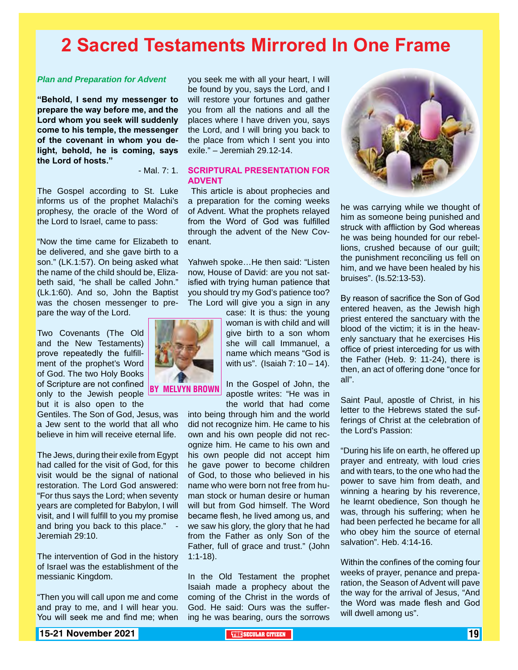## **2 Sacred Testaments Mirrored In One Frame**

#### *Plan and Preparation for Advent*

**"Behold, I send my messenger to prepare the way before me, and the Lord whom you seek will suddenly come to his temple, the messenger of the covenant in whom you delight, behold, he is coming, says the Lord of hosts."** 

- Mal. 7: 1.

The Gospel according to St. Luke informs us of the prophet Malachi's prophesy, the oracle of the Word of the Lord to Israel, came to pass:

"Now the time came for Elizabeth to be delivered, and she gave birth to a son." (LK.1:57). On being asked what the name of the child should be, Elizabeth said, "he shall be called John." (Lk.1:60). And so, John the Baptist was the chosen messenger to prepare the way of the Lord.

Two Covenants (The Old and the New Testaments) prove repeatedly the fulfillment of the prophet's Word of God. The two Holy Books of Scripture are not confined only to the Jewish people but it is also open to the

Gentiles. The Son of God, Jesus, was a Jew sent to the world that all who believe in him will receive eternal life.

The Jews, during their exile from Egypt had called for the visit of God, for this visit would be the signal of national restoration. The Lord God answered: "For thus says the Lord; when seventy years are completed for Babylon, I will visit, and I will fulfill to you my promise and bring you back to this place." Jeremiah 29:10.

The intervention of God in the history of Israel was the establishment of the messianic Kingdom.

"Then you will call upon me and come and pray to me, and I will hear you. You will seek me and find me; when

you seek me with all your heart, I will be found by you, says the Lord, and I will restore your fortunes and gather you from all the nations and all the places where I have driven you, says the Lord, and I will bring you back to the place from which I sent you into exile." – Jeremiah 29.12-14.

#### **SCRIPTURAL PRESENTATION FOR ADVENT**

 This article is about prophecies and a preparation for the coming weeks of Advent. What the prophets relayed from the Word of God was fulfilled through the advent of the New Covenant.

Yahweh spoke…He then said: "Listen now, House of David: are you not satisfied with trying human patience that you should try my God's patience too? The Lord will give you a sign in any

> case: It is thus: the young woman is with child and will give birth to a son whom she will call Immanuel, a name which means "God is with us". (Isaiah  $7:10 - 14$ ).

In the Gospel of John, the apostle writes: "He was in the world that had come

into being through him and the world did not recognize him. He came to his own and his own people did not recognize him. He came to his own and his own people did not accept him he gave power to become children of God, to those who believed in his name who were born not free from human stock or human desire or human will but from God himself. The Word became flesh, he lived among us, and we saw his glory, the glory that he had from the Father as only Son of the Father, full of grace and trust." (John 1:1-18).

In the Old Testament the prophet Isaiah made a prophecy about the coming of the Christ in the words of God. He said: Ours was the suffering he was bearing, ours the sorrows



he was carrying while we thought of him as someone being punished and struck with affliction by God whereas he was being hounded for our rebellions, crushed because of our guilt; the punishment reconciling us fell on him, and we have been healed by his bruises". (Is.52:13-53).

By reason of sacrifice the Son of God entered heaven, as the Jewish high priest entered the sanctuary with the blood of the victim; it is in the heavenly sanctuary that he exercises His office of priest interceding for us with the Father (Heb. 9: 11-24), there is then, an act of offering done "once for all".

Saint Paul, apostle of Christ, in his letter to the Hebrews stated the sufferings of Christ at the celebration of the Lord's Passion:

"During his life on earth, he offered up prayer and entreaty, with loud cries and with tears, to the one who had the power to save him from death, and winning a hearing by his reverence, he learnt obedience, Son though he was, through his suffering; when he had been perfected he became for all who obey him the source of eternal salvation". Heb. 4:14-16.

Within the confines of the coming four weeks of prayer, penance and preparation, the Season of Advent will pave the way for the arrival of Jesus, "And the Word was made flesh and God will dwell among us".



By Melvyn Brown